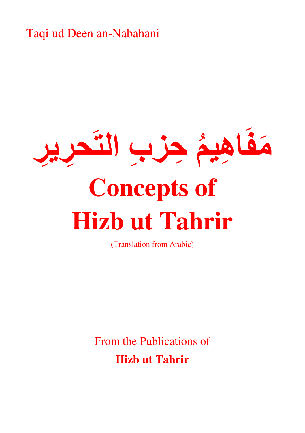Taqi ud Deen an-Nabahani



(Translation from Arabic)

From the Publications of **Hizb ut Tahrir**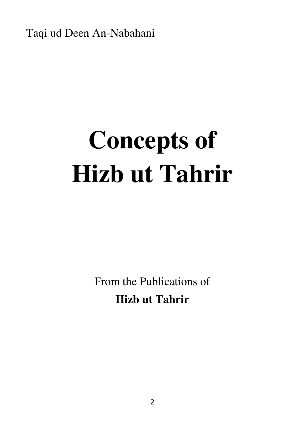Taqi ud Deen An-Nabahani

## **Concepts of Hizb ut Tahrir**

From the Publications of **Hizb ut Tahrir**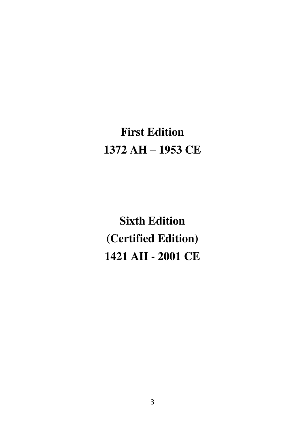## **First Edition 1372 AH – 1953 CE**

**Sixth Edition (Certified Edition) 1421 AH - 2001 CE**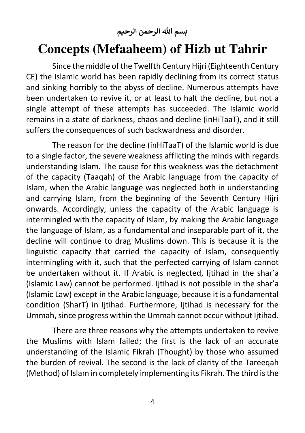**بسم هللا الرحمن الرحيم**

## **Concepts (Mefaaheem) of Hizb ut Tahrir**

Since the middle of the Twelfth Century Hijri (Eighteenth Century CE) the Islamic world has been rapidly declining from its correct status and sinking horribly to the abyss of decline. Numerous attempts have been undertaken to revive it, or at least to halt the decline, but not a single attempt of these attempts has succeeded. The Islamic world remains in a state of darkness, chaos and decline (inHiTaaT), and it still suffers the consequences of such backwardness and disorder.

The reason for the decline (inHiTaaT) of the Islamic world is due to a single factor, the severe weakness afflicting the minds with regards understanding Islam. The cause for this weakness was the detachment of the capacity (Taaqah) of the Arabic language from the capacity of Islam, when the Arabic language was neglected both in understanding and carrying Islam, from the beginning of the Seventh Century Hijri onwards. Accordingly, unless the capacity of the Arabic language is intermingled with the capacity of Islam, by making the Arabic language the language of Islam, as a fundamental and inseparable part of it, the decline will continue to drag Muslims down. This is because it is the linguistic capacity that carried the capacity of Islam, consequently intermingling with it, such that the perfected carrying of Islam cannot be undertaken without it. If Arabic is neglected, Ijtihad in the shar'a (Islamic Law) cannot be performed. Ijtihad is not possible in the shar'a (Islamic Law) except in the Arabic language, because it is a fundamental condition (SharT) in Ijtihad. Furthermore, Ijtihad is necessary for the Ummah, since progress within the Ummah cannot occur without Ijtihad.

There are three reasons why the attempts undertaken to revive the Muslims with Islam failed; the first is the lack of an accurate understanding of the Islamic Fikrah (Thought) by those who assumed the burden of revival. The second is the lack of clarity of the Tareeqah (Method) of Islam in completely implementing its Fikrah. The third is the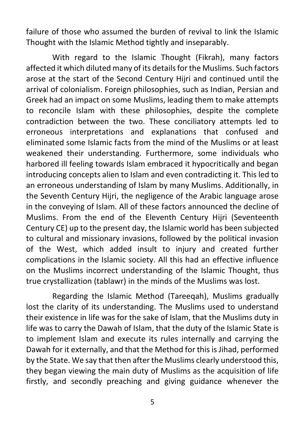failure of those who assumed the burden of revival to link the Islamic Thought with the Islamic Method tightly and inseparably.

With regard to the Islamic Thought (Fikrah), many factors affected it which diluted many of its details for the Muslims. Such factors arose at the start of the Second Century Hijri and continued until the arrival of colonialism. Foreign philosophies, such as Indian, Persian and Greek had an impact on some Muslims, leading them to make attempts to reconcile Islam with these philosophies, despite the complete contradiction between the two. These conciliatory attempts led to erroneous interpretations and explanations that confused and eliminated some Islamic facts from the mind of the Muslims or at least weakened their understanding. Furthermore, some individuals who harbored ill feeling towards Islam embraced it hypocritically and began introducing concepts alien to Islam and even contradicting it. This led to an erroneous understanding of Islam by many Muslims. Additionally, in the Seventh Century Hijri, the negligence of the Arabic language arose in the conveying of Islam. All of these factors announced the decline of Muslims. From the end of the Eleventh Century Hijri (Seventeenth Century CE) up to the present day, the Islamic world has been subjected to cultural and missionary invasions, followed by the political invasion of the West, which added insult to injury and created further complications in the Islamic society. All this had an effective influence on the Muslims incorrect understanding of the Islamic Thought, thus true crystallization (tablawr) in the minds of the Muslims was lost.

Regarding the Islamic Method (Tareeqah), Muslims gradually lost the clarity of its understanding. The Muslims used to understand their existence in life was for the sake of Islam, that the Muslims duty in life was to carry the Dawah of Islam, that the duty of the Islamic State is to implement Islam and execute its rules internally and carrying the Dawah for it externally, and that the Method for this is Jihad, performed by the State. We say that then after the Muslims clearly understood this, they began viewing the main duty of Muslims as the acquisition of life firstly, and secondly preaching and giving guidance whenever the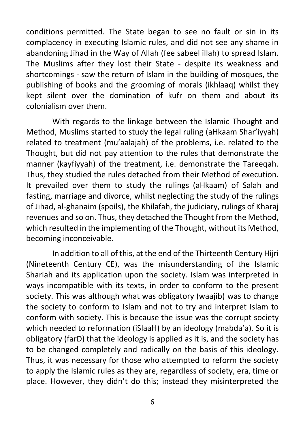conditions permitted. The State began to see no fault or sin in its complacency in executing Islamic rules, and did not see any shame in abandoning Jihad in the Way of Allah (fee sabeel illah) to spread Islam. The Muslims after they lost their State - despite its weakness and shortcomings - saw the return of Islam in the building of mosques, the publishing of books and the grooming of morals (ikhlaaq) whilst they kept silent over the domination of kufr on them and about its colonialism over them.

With regards to the linkage between the Islamic Thought and Method, Muslims started to study the legal ruling (aHkaam Shar'iyyah) related to treatment (mu'aalajah) of the problems, i.e. related to the Thought, but did not pay attention to the rules that demonstrate the manner (kayfiyyah) of the treatment, i.e. demonstrate the Tareeqah. Thus, they studied the rules detached from their Method of execution. It prevailed over them to study the rulings (aHkaam) of Salah and fasting, marriage and divorce, whilst neglecting the study of the rulings of Jihad, al-ghanaim (spoils), the Khilafah, the judiciary, rulings of Kharaj revenues and so on. Thus, they detached the Thought from the Method, which resulted in the implementing of the Thought, without its Method, becoming inconceivable.

In addition to all of this, at the end of the Thirteenth Century Hijri (Nineteenth Century CE), was the misunderstanding of the Islamic Shariah and its application upon the society. Islam was interpreted in ways incompatible with its texts, in order to conform to the present society. This was although what was obligatory (waajib) was to change the society to conform to Islam and not to try and interpret Islam to conform with society. This is because the issue was the corrupt society which needed to reformation (iSlaaH) by an ideology (mabda'a). So it is obligatory (farD) that the ideology is applied as it is, and the society has to be changed completely and radically on the basis of this ideology. Thus, it was necessary for those who attempted to reform the society to apply the Islamic rules as they are, regardless of society, era, time or place. However, they didn't do this; instead they misinterpreted the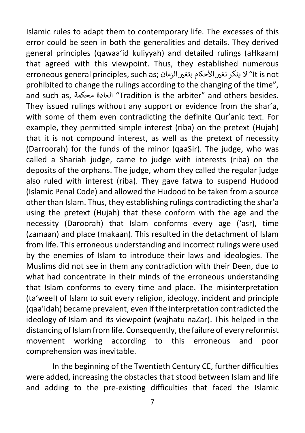Islamic rules to adapt them to contemporary life. The excesses of this error could be seen in both the generalities and details. They derived general principles (qawaa'id kuliyyah) and detailed rulings (aHkaam) that agreed with this viewpoint. Thus, they established numerous erroneous general principles, such as; ا" لا ينكر تغير الأحكام بتغير الزمان ;erroneous general principles, such prohibited to change the rulings according to the changing of the time", and such as, العادة محكمة "Tradition is the arbiter" and others besides. They issued rulings without any support or evidence from the shar'a, with some of them even contradicting the definite Qur'anic text. For example, they permitted simple interest (riba) on the pretext (Hujah) that it is not compound interest, as well as the pretext of necessity (Darroorah) for the funds of the minor (qaaSir). The judge, who was called a Shariah judge, came to judge with interests (riba) on the deposits of the orphans. The judge, whom they called the regular judge also ruled with interest (riba). They gave fatwa to suspend Hudood (Islamic Penal Code) and allowed the Hudood to be taken from a source other than Islam. Thus, they establishing rulings contradicting the shar'a using the pretext (Hujah) that these conform with the age and the necessity (Daroorah) that Islam conforms every age ('asr), time (zamaan) and place (makaan). This resulted in the detachment of Islam from life. This erroneous understanding and incorrect rulings were used by the enemies of Islam to introduce their laws and ideologies. The Muslims did not see in them any contradiction with their Deen, due to what had concentrate in their minds of the erroneous understanding that Islam conforms to every time and place. The misinterpretation (ta'weel) of Islam to suit every religion, ideology, incident and principle (qaa'idah) became prevalent, even if the interpretation contradicted the ideology of Islam and its viewpoint (wajhatu naZar). This helped in the distancing of Islam from life. Consequently, the failure of every reformist movement working according to this erroneous and poor comprehension was inevitable.

In the beginning of the Twentieth Century CE, further difficulties were added, increasing the obstacles that stood between Islam and life and adding to the pre-existing difficulties that faced the Islamic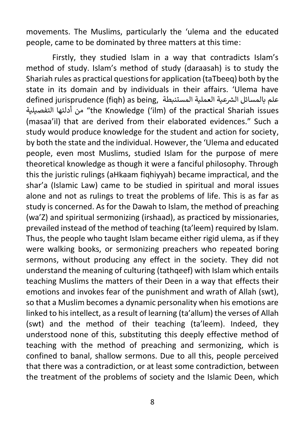movements. The Muslims, particularly the 'ulema and the educated people, came to be dominated by three matters at this time:

Firstly, they studied Islam in a way that contradicts Islam's method of study. Islam's method of study (daraasah) is to study the Shariah rules as practical questions for application (taTbeeq) both by the state in its domain and by individuals in their affairs. 'Ulema have رalefined jurisprudence (figh) as being, علم بالمسائل الشرعية العملية المستنبطة التفصيلية أدلتها من" the Knowledge ('ilm) of the practical Shariah issues (masaa'il) that are derived from their elaborated evidences." Such a study would produce knowledge for the student and action for society, by both the state and the individual. However, the 'Ulema and educated people, even most Muslims, studied Islam for the purpose of mere theoretical knowledge as though it were a fanciful philosophy. Through this the juristic rulings (aHkaam fiqhiyyah) became impractical, and the shar'a (Islamic Law) came to be studied in spiritual and moral issues alone and not as rulings to treat the problems of life. This is as far as study is concerned. As for the Dawah to Islam, the method of preaching (wa'Z) and spiritual sermonizing (irshaad), as practiced by missionaries, prevailed instead of the method of teaching (ta'leem) required by Islam. Thus, the people who taught Islam became either rigid ulema, as if they were walking books, or sermonizing preachers who repeated boring sermons, without producing any effect in the society. They did not understand the meaning of culturing (tathqeef) with Islam which entails teaching Muslims the matters of their Deen in a way that effects their emotions and invokes fear of the punishment and wrath of Allah (swt), so that a Muslim becomes a dynamic personality when his emotions are linked to his intellect, as a result of learning (ta'allum) the verses of Allah (swt) and the method of their teaching (ta'leem). Indeed, they understood none of this, substituting this deeply effective method of teaching with the method of preaching and sermonizing, which is confined to banal, shallow sermons. Due to all this, people perceived that there was a contradiction, or at least some contradiction, between the treatment of the problems of society and the Islamic Deen, which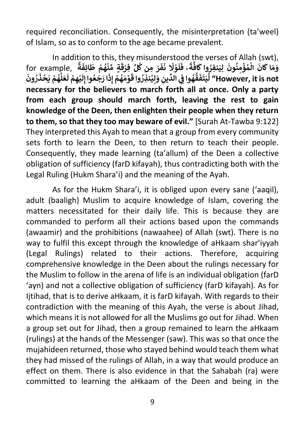required reconciliation. Consequently, the misinterpretation (ta'weel) of Islam, so as to conform to the age became prevalent.

In addition to this, they misunderstood the verses of Allah (swt), for example, **ِّ ل ِ من ك َ ر ُ َ ف َ َ ن َل و ْ َ ل َ ً ۚ ف ة َّ َ اف وا ك ِنفر َ ِي َ ل ُون ن ِ م ؤ م َ ال ان ا ك م َ و ُْ ُ ْ ٌََ ة َ ِف ائ ْ ط م ه ن ِّ ٍة م َُ ْ َ ق ِفر ْ َ ون ر َُ** |<br>**يُم**َّم يَحْذَ **ْ** ا<br>ا **َّ ل َ ع َ ْ ل ِ م ه ي ْ َ ٔ رَجَٰعُوا إِلَ**ّ **َ ِذ ْ إ م ه َ م و ُ ْ َ ُ وا ق ِنذر ي ِ ل َ و ِ ين ِّ الد ِي وا ف ه ُ َُّ ق َ ف َ ت َ ي ِّ ل" However, it is not necessary for the believers to march forth all at once. Only a party from each group should march forth, leaving the rest to gain knowledge of the Deen, then enlighten their people when they return to them, so that they too may beware of evil."** [Surah At-Tawba 9:122] They interpreted this Ayah to mean that a group from every community sets forth to learn the Deen, to then return to teach their people. Consequently, they made learning (ta'allum) of the Deen a collective obligation of sufficiency (farD kifayah), thus contradicting both with the Legal Ruling (Hukm Shara'i) and the meaning of the Ayah.

As for the Hukm Shara'i, it is obliged upon every sane ('aaqil), adult (baaligh) Muslim to acquire knowledge of Islam, covering the matters necessitated for their daily life. This is because they are commanded to perform all their actions based upon the commands (awaamir) and the prohibitions (nawaahee) of Allah (swt). There is no way to fulfil this except through the knowledge of aHkaam shar'iyyah (Legal Rulings) related to their actions. Therefore, acquiring comprehensive knowledge in the Deen about the rulings necessary for the Muslim to follow in the arena of life is an individual obligation (farD 'ayn) and not a collective obligation of sufficiency (farD kifayah). As for Ijtihad, that is to derive aHkaam, it is farD kifayah. With regards to their contradiction with the meaning of this Ayah, the verse is about Jihad, which means it is not allowed for all the Muslims go out for Jihad. When a group set out for Jihad, then a group remained to learn the aHkaam (rulings) at the hands of the Messenger (saw). This was so that once the mujahideen returned, those who stayed behind would teach them what they had missed of the rulings of Allah, in a way that would produce an effect on them. There is also evidence in that the Sahabah (ra) were committed to learning the aHkaam of the Deen and being in the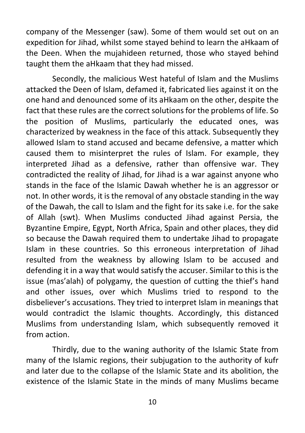company of the Messenger (saw). Some of them would set out on an expedition for Jihad, whilst some stayed behind to learn the aHkaam of the Deen. When the mujahideen returned, those who stayed behind taught them the aHkaam that they had missed.

Secondly, the malicious West hateful of Islam and the Muslims attacked the Deen of Islam, defamed it, fabricated lies against it on the one hand and denounced some of its aHkaam on the other, despite the fact that these rules are the correct solutions for the problems of life. So the position of Muslims, particularly the educated ones, was characterized by weakness in the face of this attack. Subsequently they allowed Islam to stand accused and became defensive, a matter which caused them to misinterpret the rules of Islam. For example, they interpreted Jihad as a defensive, rather than offensive war. They contradicted the reality of Jihad, for Jihad is a war against anyone who stands in the face of the Islamic Dawah whether he is an aggressor or not. In other words, it is the removal of any obstacle standing in the way of the Dawah, the call to Islam and the fight for its sake i.e. for the sake of Allah (swt). When Muslims conducted Jihad against Persia, the Byzantine Empire, Egypt, North Africa, Spain and other places, they did so because the Dawah required them to undertake Jihad to propagate Islam in these countries. So this erroneous interpretation of Jihad resulted from the weakness by allowing Islam to be accused and defending it in a way that would satisfy the accuser. Similar to this is the issue (mas'alah) of polygamy, the question of cutting the thief's hand and other issues, over which Muslims tried to respond to the disbeliever's accusations. They tried to interpret Islam in meanings that would contradict the Islamic thoughts. Accordingly, this distanced Muslims from understanding Islam, which subsequently removed it from action.

Thirdly, due to the waning authority of the Islamic State from many of the Islamic regions, their subjugation to the authority of kufr and later due to the collapse of the Islamic State and its abolition, the existence of the Islamic State in the minds of many Muslims became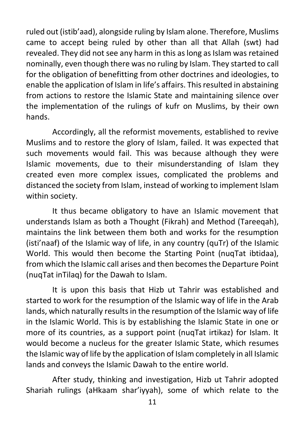ruled out (istib'aad), alongside ruling by Islam alone. Therefore, Muslims came to accept being ruled by other than all that Allah (swt) had revealed. They did not see any harm in this as long as Islam was retained nominally, even though there was no ruling by Islam. They started to call for the obligation of benefitting from other doctrines and ideologies, to enable the application of Islam in life's affairs. This resulted in abstaining from actions to restore the Islamic State and maintaining silence over the implementation of the rulings of kufr on Muslims, by their own hands.

Accordingly, all the reformist movements, established to revive Muslims and to restore the glory of Islam, failed. It was expected that such movements would fail. This was because although they were Islamic movements, due to their misunderstanding of Islam they created even more complex issues, complicated the problems and distanced the society from Islam, instead of working to implement Islam within society.

It thus became obligatory to have an Islamic movement that understands Islam as both a Thought (Fikrah) and Method (Tareeqah), maintains the link between them both and works for the resumption (isti'naaf) of the Islamic way of life, in any country (quTr) of the Islamic World. This would then become the Starting Point (nuqTat ibtidaa), from which the Islamic call arises and then becomes the Departure Point (nuqTat inTilaq) for the Dawah to Islam.

It is upon this basis that Hizb ut Tahrir was established and started to work for the resumption of the Islamic way of life in the Arab lands, which naturally results in the resumption of the Islamic way of life in the Islamic World. This is by establishing the Islamic State in one or more of its countries, as a support point (nuqTat irtikaz) for Islam. It would become a nucleus for the greater Islamic State, which resumes the Islamic way of life by the application of Islam completely in all Islamic lands and conveys the Islamic Dawah to the entire world.

After study, thinking and investigation, Hizb ut Tahrir adopted Shariah rulings (aHkaam shar'iyyah), some of which relate to the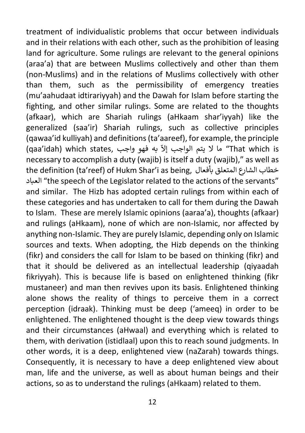treatment of individualistic problems that occur between individuals and in their relations with each other, such as the prohibition of leasing land for agriculture. Some rulings are relevant to the general opinions (araa'a) that are between Muslims collectively and other than them (non-Muslims) and in the relations of Muslims collectively with other than them, such as the permissibility of emergency treaties (mu'aahudaat idtirariyyah) and the Dawah for Islam before starting the fighting, and other similar rulings. Some are related to the thoughts (afkaar), which are Shariah rulings (aHkaam shar'iyyah) like the generalized (saa'ir) Shariah rulings, such as collective principles (qawaa'id kulliyah) and definitions (ta'aareef), for example, the principle e states, is in that which states, واجب القام (qaa'idah) which states, و (qaa'idah) which states, الما لا يتم الواجب إلاّ به فهو واجب necessary to accomplish a duty (wajib) is itself a duty (wajib)," as well as the definition (ta'reef) of Hukm Shar'i as being, جناب الشارع المتعلق بأفعال  $\div$ العباد" the speech of the Legislator related to the actions of the servants" and similar. The Hizb has adopted certain rulings from within each of these categories and has undertaken to call for them during the Dawah to Islam. These are merely Islamic opinions (aaraa'a), thoughts (afkaar) and rulings (aHkaam), none of which are non-Islamic, nor affected by anything non-Islamic. They are purely Islamic, depending only on Islamic sources and texts. When adopting, the Hizb depends on the thinking (fikr) and considers the call for Islam to be based on thinking (fikr) and that it should be delivered as an intellectual leadership (qiyaadah fikriyyah). This is because life is based on enlightened thinking (fikr mustaneer) and man then revives upon its basis. Enlightened thinking alone shows the reality of things to perceive them in a correct perception (idraak). Thinking must be deep ('ameeq) in order to be enlightened. The enlightened thought is the deep view towards things and their circumstances (aHwaal) and everything which is related to them, with derivation (istidlaal) upon this to reach sound judgments. In other words, it is a deep, enlightened view (naZarah) towards things. Consequently, it is necessary to have a deep enlightened view about man, life and the universe, as well as about human beings and their actions, so as to understand the rulings (aHkaam) related to them.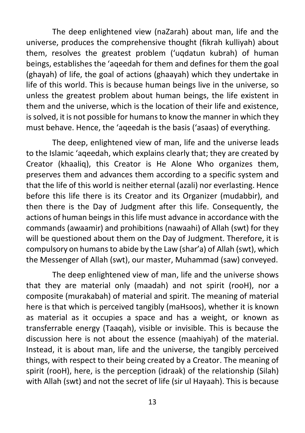The deep enlightened view (naZarah) about man, life and the universe, produces the comprehensive thought (fikrah kulliyah) about them, resolves the greatest problem ('uqdatun kubrah) of human beings, establishes the 'aqeedah for them and defines for them the goal (ghayah) of life, the goal of actions (ghaayah) which they undertake in life of this world. This is because human beings live in the universe, so unless the greatest problem about human beings, the life existent in them and the universe, which is the location of their life and existence, is solved, it is not possible for humans to know the manner in which they must behave. Hence, the 'aqeedah is the basis ('asaas) of everything.

The deep, enlightened view of man, life and the universe leads to the Islamic 'aqeedah, which explains clearly that; they are created by Creator (khaaliq), this Creator is He Alone Who organizes them, preserves them and advances them according to a specific system and that the life of this world is neither eternal (azali) nor everlasting. Hence before this life there is its Creator and its Organizer (mudabbir), and then there is the Day of Judgment after this life. Consequently, the actions of human beings in this life must advance in accordance with the commands (awaamir) and prohibitions (nawaahi) of Allah (swt) for they will be questioned about them on the Day of Judgment. Therefore, it is compulsory on humans to abide by the Law (shar'a) of Allah (swt), which the Messenger of Allah (swt), our master, Muhammad (saw) conveyed.

The deep enlightened view of man, life and the universe shows that they are material only (maadah) and not spirit (rooH), nor a composite (murakabah) of material and spirit. The meaning of material here is that which is perceived tangibly (maHsoos), whether it is known as material as it occupies a space and has a weight, or known as transferrable energy (Taaqah), visible or invisible. This is because the discussion here is not about the essence (maahiyah) of the material. Instead, it is about man, life and the universe, the tangibly perceived things, with respect to their being created by a Creator. The meaning of spirit (rooH), here, is the perception (idraak) of the relationship (Silah) with Allah (swt) and not the secret of life (sir ul Hayaah). This is because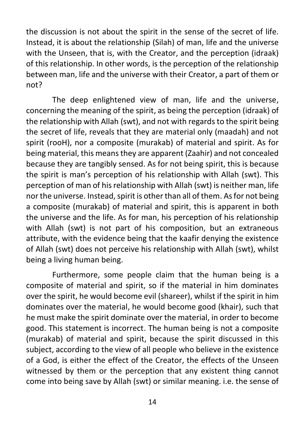the discussion is not about the spirit in the sense of the secret of life. Instead, it is about the relationship (Silah) of man, life and the universe with the Unseen, that is, with the Creator, and the perception (idraak) of this relationship. In other words, is the perception of the relationship between man, life and the universe with their Creator, a part of them or not?

The deep enlightened view of man, life and the universe, concerning the meaning of the spirit, as being the perception (idraak) of the relationship with Allah (swt), and not with regards to the spirit being the secret of life, reveals that they are material only (maadah) and not spirit (rooH), nor a composite (murakab) of material and spirit. As for being material, this means they are apparent (Zaahir) and not concealed because they are tangibly sensed. As for not being spirit, this is because the spirit is man's perception of his relationship with Allah (swt). This perception of man of his relationship with Allah (swt) is neither man, life nor the universe. Instead, spirit is other than all of them. As for not being a composite (murakab) of material and spirit, this is apparent in both the universe and the life. As for man, his perception of his relationship with Allah (swt) is not part of his composition, but an extraneous attribute, with the evidence being that the kaafir denying the existence of Allah (swt) does not perceive his relationship with Allah (swt), whilst being a living human being.

Furthermore, some people claim that the human being is a composite of material and spirit, so if the material in him dominates over the spirit, he would become evil (shareer), whilst if the spirit in him dominates over the material, he would become good (khair), such that he must make the spirit dominate over the material, in order to become good. This statement is incorrect. The human being is not a composite (murakab) of material and spirit, because the spirit discussed in this subject, according to the view of all people who believe in the existence of a God, is either the effect of the Creator, the effects of the Unseen witnessed by them or the perception that any existent thing cannot come into being save by Allah (swt) or similar meaning. i.e. the sense of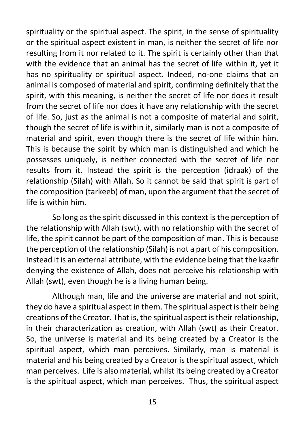spirituality or the spiritual aspect. The spirit, in the sense of spirituality or the spiritual aspect existent in man, is neither the secret of life nor resulting from it nor related to it. The spirit is certainly other than that with the evidence that an animal has the secret of life within it, yet it has no spirituality or spiritual aspect. Indeed, no-one claims that an animal is composed of material and spirit, confirming definitely that the spirit, with this meaning, is neither the secret of life nor does it result from the secret of life nor does it have any relationship with the secret of life. So, just as the animal is not a composite of material and spirit, though the secret of life is within it, similarly man is not a composite of material and spirit, even though there is the secret of life within him. This is because the spirit by which man is distinguished and which he possesses uniquely, is neither connected with the secret of life nor results from it. Instead the spirit is the perception (idraak) of the relationship (Silah) with Allah. So it cannot be said that spirit is part of the composition (tarkeeb) of man, upon the argument that the secret of life is within him.

So long as the spirit discussed in this context is the perception of the relationship with Allah (swt), with no relationship with the secret of life, the spirit cannot be part of the composition of man. This is because the perception of the relationship (Silah) is not a part of his composition. Instead it is an external attribute, with the evidence being that the kaafir denying the existence of Allah, does not perceive his relationship with Allah (swt), even though he is a living human being.

Although man, life and the universe are material and not spirit, they do have a spiritual aspect in them. The spiritual aspect is their being creations of the Creator. That is, the spiritual aspect is their relationship, in their characterization as creation, with Allah (swt) as their Creator. So, the universe is material and its being created by a Creator is the spiritual aspect, which man perceives. Similarly, man is material is material and his being created by a Creator is the spiritual aspect, which man perceives. Life is also material, whilst its being created by a Creator is the spiritual aspect, which man perceives. Thus, the spiritual aspect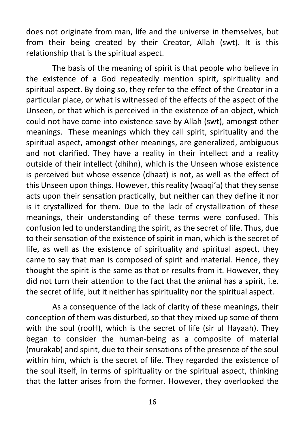does not originate from man, life and the universe in themselves, but from their being created by their Creator, Allah (swt). It is this relationship that is the spiritual aspect.

The basis of the meaning of spirit is that people who believe in the existence of a God repeatedly mention spirit, spirituality and spiritual aspect. By doing so, they refer to the effect of the Creator in a particular place, or what is witnessed of the effects of the aspect of the Unseen, or that which is perceived in the existence of an object, which could not have come into existence save by Allah (swt), amongst other meanings. These meanings which they call spirit, spirituality and the spiritual aspect, amongst other meanings, are generalized, ambiguous and not clarified. They have a reality in their intellect and a reality outside of their intellect (dhihn), which is the Unseen whose existence is perceived but whose essence (dhaat) is not, as well as the effect of this Unseen upon things. However, this reality (waaqi'a) that they sense acts upon their sensation practically, but neither can they define it nor is it crystallized for them. Due to the lack of crystallization of these meanings, their understanding of these terms were confused. This confusion led to understanding the spirit, as the secret of life. Thus, due to their sensation of the existence of spirit in man, which is the secret of life, as well as the existence of spirituality and spiritual aspect, they came to say that man is composed of spirit and material. Hence, they thought the spirit is the same as that or results from it. However, they did not turn their attention to the fact that the animal has a spirit, i.e. the secret of life, but it neither has spirituality nor the spiritual aspect.

As a consequence of the lack of clarity of these meanings, their conception of them was disturbed, so that they mixed up some of them with the soul (rooH), which is the secret of life (sir ul Hayaah). They began to consider the human-being as a composite of material (murakab) and spirit, due to their sensations of the presence of the soul within him, which is the secret of life. They regarded the existence of the soul itself, in terms of spirituality or the spiritual aspect, thinking that the latter arises from the former. However, they overlooked the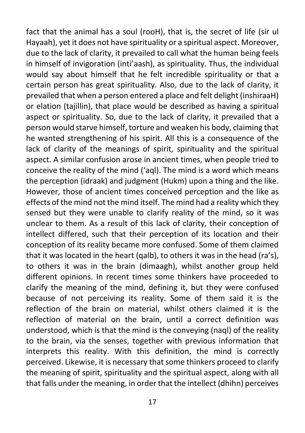fact that the animal has a soul (rooH), that is, the secret of life (sir ul Hayaah), yet it does not have spirituality or a spiritual aspect. Moreover, due to the lack of clarity, it prevailed to call what the human being feels in himself of invigoration (inti'aash), as spirituality. Thus, the individual would say about himself that he felt incredible spirituality or that a certain person has great spirituality. Also, due to the lack of clarity, it prevailed that when a person entered a place and felt delight (inshiraaH) or elation (tajillin), that place would be described as having a spiritual aspect or spirituality. So, due to the lack of clarity, it prevailed that a person would starve himself, torture and weaken his body, claiming that he wanted strengthening of his spirit. All this is a consequence of the lack of clarity of the meanings of spirit, spirituality and the spiritual aspect. A similar confusion arose in ancient times, when people tried to conceive the reality of the mind ('aql). The mind is a word which means the perception (idraak) and judgment (Hukm) upon a thing and the like. However, those of ancient times conceived perception and the like as effects of the mind not the mind itself. The mind had a reality which they sensed but they were unable to clarify reality of the mind, so it was unclear to them. As a result of this lack of clarity, their conception of intellect differed, such that their perception of its location and their conception of its reality became more confused. Some of them claimed that it was located in the heart (qalb), to others it was in the head (ra's), to others it was in the brain (dimaagh), whilst another group held different opinions. In recent times some thinkers have proceeded to clarify the meaning of the mind, defining it, but they were confused because of not perceiving its reality. Some of them said it is the reflection of the brain on material, whilst others claimed it is the reflection of material on the brain, until a correct definition was understood, which is that the mind is the conveying (naql) of the reality to the brain, via the senses, together with previous information that interprets this reality. With this definition, the mind is correctly perceived. Likewise, it is necessary that some thinkers proceed to clarify the meaning of spirit, spirituality and the spiritual aspect, along with all that falls under the meaning, in order that the intellect (dhihn) perceives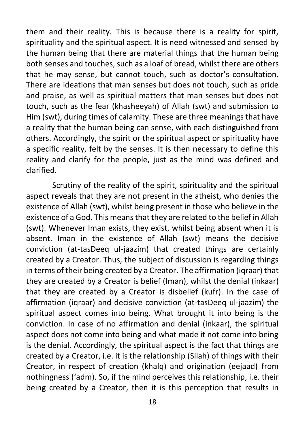them and their reality. This is because there is a reality for spirit, spirituality and the spiritual aspect. It is need witnessed and sensed by the human being that there are material things that the human being both senses and touches, such as a loaf of bread, whilst there are others that he may sense, but cannot touch, such as doctor's consultation. There are ideations that man senses but does not touch, such as pride and praise, as well as spiritual matters that man senses but does not touch, such as the fear (khasheeyah) of Allah (swt) and submission to Him (swt), during times of calamity. These are three meanings that have a reality that the human being can sense, with each distinguished from others. Accordingly, the spirit or the spiritual aspect or spirituality have a specific reality, felt by the senses. It is then necessary to define this reality and clarify for the people, just as the mind was defined and clarified.

Scrutiny of the reality of the spirit, spirituality and the spiritual aspect reveals that they are not present in the atheist, who denies the existence of Allah (swt), whilst being present in those who believe in the existence of a God. This means that they are related to the belief in Allah (swt). Whenever Iman exists, they exist, whilst being absent when it is absent. Iman in the existence of Allah (swt) means the decisive conviction (at-tasDeeq ul-jaazim) that created things are certainly created by a Creator. Thus, the subject of discussion is regarding things in terms of their being created by a Creator. The affirmation (iqraar) that they are created by a Creator is belief (Iman), whilst the denial (inkaar) that they are created by a Creator is disbelief (kufr). In the case of affirmation (iqraar) and decisive conviction (at-tasDeeq ul-jaazim) the spiritual aspect comes into being. What brought it into being is the conviction. In case of no affirmation and denial (inkaar), the spiritual aspect does not come into being and what made it not come into being is the denial. Accordingly, the spiritual aspect is the fact that things are created by a Creator, i.e. it is the relationship (Silah) of things with their Creator, in respect of creation (khalq) and origination (eejaad) from nothingness ('adm). So, if the mind perceives this relationship, i.e. their being created by a Creator, then it is this perception that results in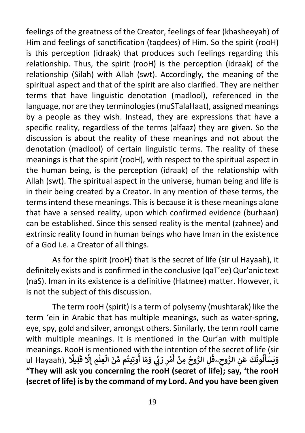feelings of the greatness of the Creator, feelings of fear (khasheeyah) of Him and feelings of sanctification (taqdees) of Him. So the spirit (rooH) is this perception (idraak) that produces such feelings regarding this relationship. Thus, the spirit (rooH) is the perception (idraak) of the relationship (Silah) with Allah (swt). Accordingly, the meaning of the spiritual aspect and that of the spirit are also clarified. They are neither terms that have linguistic denotation (madlool), referenced in the language, nor are they terminologies (muSTalaHaat), assigned meanings by a people as they wish. Instead, they are expressions that have a specific reality, regardless of the terms (alfaaz) they are given. So the discussion is about the reality of these meanings and not about the denotation (madlool) of certain linguistic terms. The reality of these meanings is that the spirit (rooH), with respect to the spiritual aspect in the human being, is the perception (idraak) of the relationship with Allah (swt). The spiritual aspect in the universe, human being and life is in their being created by a Creator. In any mention of these terms, the terms intend these meanings. This is because it is these meanings alone that have a sensed reality, upon which confirmed evidence (burhaan) can be established. Since this sensed reality is the mental (zahnee) and extrinsic reality found in human beings who have Iman in the existence of a God i.e. a Creator of all things.

As for the spirit (rooH) that is the secret of life (sir ul Hayaah), it definitely exists and is confirmed in the conclusive (qaT'ee) Qur'anic text (naS). Iman in its existence is a definitive (Hatmee) matter. However, it is not the subject of this discussion.

The term rooH (spirit) is a term of polysemy (mushtarak) like the term 'ein in Arabic that has multiple meanings, such as water-spring, eye, spy, gold and silver, amongst others. Similarly, the term rooH came with multiple meanings. It is mentioned in the Qur'an with multiple meanings. RooH is mentioned with the intention of the secret of life (sir **َ َ** ul Hayaah), **ً ِيل ل** n is memoned with the mtemtion of the secret of me (sh<br>وَيَسْأَلُونَكَ عَنِ الرُّوحِ\_قُلِ الرُّوحُ مِنْ أَهْرِ رَبِّي وَمَا أُوتِيتُم مِّنَ الْعِلْمِ إِلَّا قَا<br>... **ْ ْ ُ ُ َي ْ ُ ُ "They will ask you concerning the rooH (secret of life); say, 'the rooH (secret of life) is by the command of my Lord. And you have been given**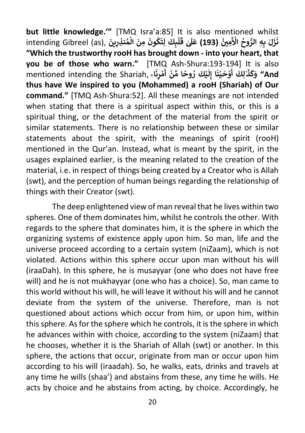**but little knowledge.'"** [TMQ Isra'a:85] It is also mentioned whilst intending Gibreel (as), **أَرَّكَ بِهِ الرُّوحُ الْأَمِينُ (193) at a a <b>i** a a a a a a a a a a a b y a a memore a<br>زَلَ بِهِ الرُّوحُ الْأَمِينُ (**193)** عَلَىٰ قَلْبِكَ لِتَكُونَ مِنَ الْمُنْذِرِينَ , intending Gibreel (as **َ** it is also memorica willscome if the form of the form of the form of the form of the form of the form of  $\vec{a}$  and  $\vec{b}$  and  $\vec{b}$  and  $\vec{b}$  and  $\vec{b}$  and  $\vec{b}$  and  $\vec{b}$  and  $\vec{b}$  and  $\vec{c}$   $\vec{c}$   $\vec{$ **ُ ْ ُ ْ َ ٰ ق َ َل َ ( ع "Which the trustworthy rooH has brought down - into your heart, that you be of those who warn."** [TMQ Ash-Shura:193-194] It is also **َ َ** mentioned intending the Shariah, **ۚ ا َ ن ِ ر م ْ أ ن ِّ ا م وح ر كَ ي ْ ًُ ْ َ** ل<sup>1</sup> أَوْحَيْنَا إِلَا **ْ ْ ٰ َ ذ َ ك َ And "و thus have We inspired to you (Mohammed) a rooH (Shariah) of Our command."** [TMQ Ash-Shura:52]. All these meanings are not intended when stating that there is a spiritual aspect within this, or this is a spiritual thing, or the detachment of the material from the spirit or similar statements. There is no relationship between these or similar statements about the spirit, with the meanings of spirit (rooH) mentioned in the Qur'an. Instead, what is meant by the spirit, in the usages explained earlier, is the meaning related to the creation of the material, i.e. in respect of things being created by a Creator who is Allah (swt), and the perception of human beings regarding the relationship of things with their Creator (swt).

The deep enlightened view of man reveal that he lives within two spheres. One of them dominates him, whilst he controls the other. With regards to the sphere that dominates him, it is the sphere in which the organizing systems of existence apply upon him. So man, life and the universe proceed according to a certain system (niZaam), which is not violated. Actions within this sphere occur upon man without his will (iraaDah). In this sphere, he is musayyar (one who does not have free will) and he is not mukhayyar (one who has a choice). So, man came to this world without his will, he will leave it without his will and he cannot deviate from the system of the universe. Therefore, man is not questioned about actions which occur from him, or upon him, within this sphere. As for the sphere which he controls, it is the sphere in which he advances within with choice, according to the system (niZaam) that he chooses, whether it is the Shariah of Allah (swt) or another. In this sphere, the actions that occur, originate from man or occur upon him according to his will (iraadah). So, he walks, eats, drinks and travels at any time he wills (shaa') and abstains from these, any time he wills. He acts by choice and he abstains from acting, by choice. Accordingly, he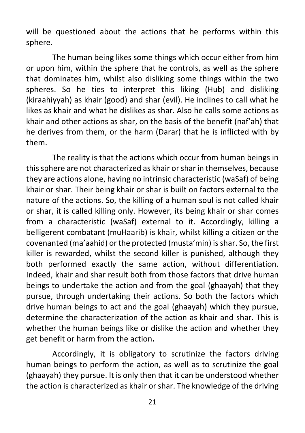will be questioned about the actions that he performs within this sphere.

The human being likes some things which occur either from him or upon him, within the sphere that he controls, as well as the sphere that dominates him, whilst also disliking some things within the two spheres. So he ties to interpret this liking (Hub) and disliking (kiraahiyyah) as khair (good) and shar (evil). He inclines to call what he likes as khair and what he dislikes as shar. Also he calls some actions as khair and other actions as shar, on the basis of the benefit (naf'ah) that he derives from them, or the harm (Darar) that he is inflicted with by them.

The reality is that the actions which occur from human beings in this sphere are not characterized as khair or shar in themselves, because they are actions alone, having no intrinsic characteristic (waSaf) of being khair or shar. Their being khair or shar is built on factors external to the nature of the actions. So, the killing of a human soul is not called khair or shar, it is called killing only. However, its being khair or shar comes from a characteristic (waSaf) external to it. Accordingly, killing a belligerent combatant (muHaarib) is khair, whilst killing a citizen or the covenanted (ma'aahid) or the protected (musta'min) is shar. So, the first killer is rewarded, whilst the second killer is punished, although they both performed exactly the same action, without differentiation. Indeed, khair and shar result both from those factors that drive human beings to undertake the action and from the goal (ghaayah) that they pursue, through undertaking their actions. So both the factors which drive human beings to act and the goal (ghaayah) which they pursue, determine the characterization of the action as khair and shar. This is whether the human beings like or dislike the action and whether they get benefit or harm from the action**.** 

Accordingly, it is obligatory to scrutinize the factors driving human beings to perform the action, as well as to scrutinize the goal (ghaayah) they pursue. It is only then that it can be understood whether the action is characterized as khair or shar. The knowledge of the driving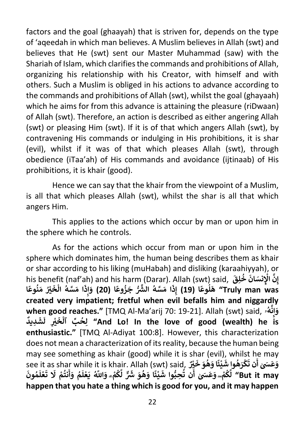factors and the goal (ghaayah) that is striven for, depends on the type of 'aqeedah in which man believes. A Muslim believes in Allah (swt) and believes that He (swt) sent our Master Muhammad (saw) with the Shariah of Islam, which clarifies the commands and prohibitions of Allah, organizing his relationship with his Creator, with himself and with others. Such a Muslim is obliged in his actions to advance according to the commands and prohibitions of Allah (swt), whilst the goal (ghayaah) which he aims for from this advance is attaining the pleasure (riDwaan) of Allah (swt). Therefore, an action is described as either angering Allah (swt) or pleasing Him (swt). If it is of that which angers Allah (swt), by contravening His commands or indulging in His prohibitions, it is shar (evil), whilst if it was of that which pleases Allah (swt), through obedience (iTaa'ah) of His commands and avoidance (ijtinaab) of His prohibitions, it is khair (good).

Hence we can say that the khair from the viewpoint of a Muslim, is all that which pleases Allah (swt), whilst the shar is all that which angers Him.

This applies to the actions which occur by man or upon him in the sphere which he controls.

As for the actions which occur from man or upon him in the sphere which dominates him, the human being describes them as khair or shar according to his liking (muHabah) and disliking (karaahiyyah), or his benefit (naf'ah) and his harm (Darar). Allah (swt) said, **َ ِق ل َ خ نسَ ان ِ َّ اْل ِن ُ ْ إ ً**د (19) إِذَا مَسَّهُ الشَّرُّ جَزُوعًا (<br>هَلُوعًا (19) إِذَا مَسَّهُ الشَّرُّ جَزُوعًا ( **ُ ُ ُ َ** ، , and ins nami (Darar), Alli<br>) إِذَا مَسَّهُ الشَّرُّ جَزُوعًا (20) وَإِذَا مَسَّهُ الْخَيْرُ مَنُوعًا **ًُ** . ......<br>ا مَسَّهُ الْخَ **ْ َ ذ ِ إ** ِ<br>"Truly man was*"* هَلُوعَا (19) إِذَا مَسَّهُ الشُّرُّ جَزُوعًا (20) وَ **created very impatient; fretful when evil befalls him and niggardly when good reaches."** [TMQ Al-Ma'arij 70: 19-21]. Allah (swt) said, **ۥ ه ُ َّ ن ِ إ َ و ٌ ِديد َ ش َ ل ِ ي ْ َ خ بِّ ٱل ِح ل" And Lo! In the love of good (wealth) he is ْ ُ enthusiastic."** [TMQ Al-Adiyat 100:8]. However, this characterization does not mean a characterization of its reality, because the human being may see something as khair (good) while it is shar (evil), whilst he may **َ** see it as shar while it is khair. Allah (swt) said, **ٌْ <sup>ي</sup> َ َ خ و ه َ ًا و ئ ي** ا<br>وُ **ْ** د.,, wini<br>كُرَهُوا شَ **ْ َ ن ت ََسٰ أ َ ع َ و َ ُ و م َ ل ع َ ي اَّلل َّ ُ ْ ۗ و م ك ْ َُ َّ ٌّ ل َ َ ش َ و ه َ ًا و ئ ي ُ ْ َ ُّوا ش ِحب ن ت ُ** سيد وهو حا<br>كُمْ<u>-</u> وَعَسَىٰ أَ **ُ َّ** ، مثيته وسو حزر , ( Swc) Suid, ( Swc) and wrine it is kitam . Allah ( Swc) 3did,<br>لَّكُمْ- وَعَسَىٰ أَن تُحِبُّوا شَيْئًا وَهُوَ شَرٌّ لَّكُمْ- وَاللَّهُ يَعْلَمُ وَأَنتُمْ لَا تَعْلَمُونَ **َ ل ع ْ َ َ ت ْ َل م نت ُ َ** But it may'' لَكُمْ<u>-</u> وَعَسَىٰ أَنْ تُحِبُّوا شَيْئًا وَهُوَ شَرٌّ لَكُمْ<sub>- </sub>وَاللَّهُ يَعْلَمُ وَأ **happen that you hate a thing which is good for you, and it may happen**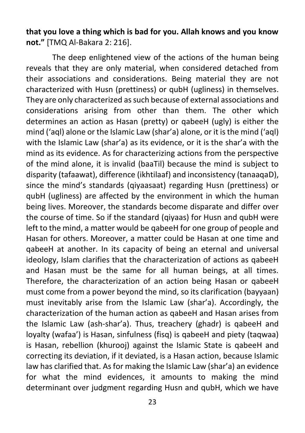**that you love a thing which is bad for you. Allah knows and you know not."** [TMQ Al-Bakara 2: 216].

The deep enlightened view of the actions of the human being reveals that they are only material, when considered detached from their associations and considerations. Being material they are not characterized with Husn (prettiness) or qubH (ugliness) in themselves. They are only characterized as such because of external associations and considerations arising from other than them. The other which determines an action as Hasan (pretty) or qabeeH (ugly) is either the mind ('aql) alone or the Islamic Law (shar'a) alone, or it is the mind ('aql) with the Islamic Law (shar'a) as its evidence, or it is the shar'a with the mind as its evidence. As for characterizing actions from the perspective of the mind alone, it is invalid (baaTil) because the mind is subject to disparity (tafaawat), difference (ikhtilaaf) and inconsistency (tanaaqaD), since the mind's standards (qiyaasaat) regarding Husn (prettiness) or qubH (ugliness) are affected by the environment in which the human being lives. Moreover, the standards become disparate and differ over the course of time. So if the standard (givaas) for Husn and qubH were left to the mind, a matter would be qabeeH for one group of people and Hasan for others. Moreover, a matter could be Hasan at one time and qabeeH at another. In its capacity of being an eternal and universal ideology, Islam clarifies that the characterization of actions as qabeeH and Hasan must be the same for all human beings, at all times. Therefore, the characterization of an action being Hasan or qabeeH must come from a power beyond the mind, so its clarification (bayyaan) must inevitably arise from the Islamic Law (shar'a). Accordingly, the characterization of the human action as qabeeH and Hasan arises from the Islamic Law (ash-shar'a). Thus, treachery (ghadr) is qabeeH and loyalty (wafaa') is Hasan, sinfulness (fisq) is qabeeH and piety (taqwaa) is Hasan, rebellion (khurooj) against the Islamic State is qabeeH and correcting its deviation, if it deviated, is a Hasan action, because Islamic law has clarified that. As for making the Islamic Law (shar'a) an evidence for what the mind evidences, it amounts to making the mind determinant over judgment regarding Husn and qubH, which we have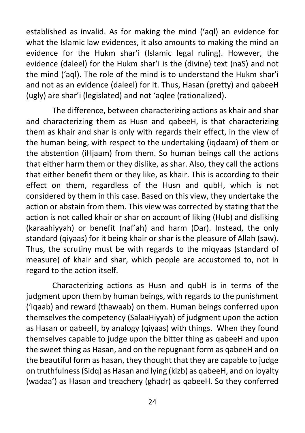established as invalid. As for making the mind ('aql) an evidence for what the Islamic law evidences, it also amounts to making the mind an evidence for the Hukm shar'i (Islamic legal ruling). However, the evidence (daleel) for the Hukm shar'i is the (divine) text (naS) and not the mind ('aql). The role of the mind is to understand the Hukm shar'i and not as an evidence (daleel) for it. Thus, Hasan (pretty) and qabeeH (ugly) are shar'i (legislated) and not 'aqlee (rationalized).

The difference, between characterizing actions as khair and shar and characterizing them as Husn and qabeeH, is that characterizing them as khair and shar is only with regards their effect, in the view of the human being, with respect to the undertaking (iqdaam) of them or the abstention (iHjaam) from them. So human beings call the actions that either harm them or they dislike, as shar. Also, they call the actions that either benefit them or they like, as khair. This is according to their effect on them, regardless of the Husn and qubH, which is not considered by them in this case. Based on this view, they undertake the action or abstain from them. This view was corrected by stating that the action is not called khair or shar on account of liking (Hub) and disliking (karaahiyyah) or benefit (naf'ah) and harm (Dar). Instead, the only standard (qiyaas) for it being khair or shar is the pleasure of Allah (saw). Thus, the scrutiny must be with regards to the miqyaas (standard of measure) of khair and shar, which people are accustomed to, not in regard to the action itself.

Characterizing actions as Husn and qubH is in terms of the judgment upon them by human beings, with regards to the punishment ('iqaab) and reward (thawaab) on them. Human beings conferred upon themselves the competency (SalaaHiyyah) of judgment upon the action as Hasan or qabeeH, by analogy (qiyaas) with things. When they found themselves capable to judge upon the bitter thing as qabeeH and upon the sweet thing as Hasan, and on the repugnant form as qabeeH and on the beautiful form as hasan, they thought that they are capable to judge on truthfulness (Sidq) as Hasan and lying (kizb) as qabeeH, and on loyalty (wadaa') as Hasan and treachery (ghadr) as qabeeH. So they conferred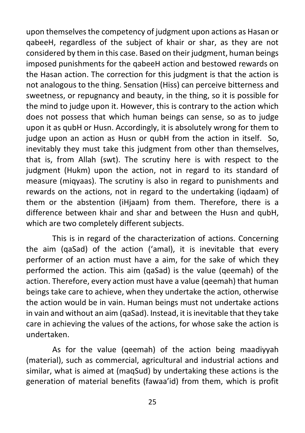upon themselves the competency of judgment upon actions as Hasan or qabeeH, regardless of the subject of khair or shar, as they are not considered by them in this case. Based on their judgment, human beings imposed punishments for the qabeeH action and bestowed rewards on the Hasan action. The correction for this judgment is that the action is not analogous to the thing. Sensation (Hiss) can perceive bitterness and sweetness, or repugnancy and beauty, in the thing, so it is possible for the mind to judge upon it. However, this is contrary to the action which does not possess that which human beings can sense, so as to judge upon it as qubH or Husn. Accordingly, it is absolutely wrong for them to judge upon an action as Husn or qubH from the action in itself. So, inevitably they must take this judgment from other than themselves, that is, from Allah (swt). The scrutiny here is with respect to the judgment (Hukm) upon the action, not in regard to its standard of measure (miqyaas). The scrutiny is also in regard to punishments and rewards on the actions, not in regard to the undertaking (iqdaam) of them or the abstention (iHjaam) from them. Therefore, there is a difference between khair and shar and between the Husn and qubH, which are two completely different subjects.

This is in regard of the characterization of actions. Concerning the aim (qaSad) of the action ('amal), it is inevitable that every performer of an action must have a aim, for the sake of which they performed the action. This aim (qaSad) is the value (qeemah) of the action. Therefore, every action must have a value (qeemah) that human beings take care to achieve, when they undertake the action, otherwise the action would be in vain. Human beings must not undertake actions in vain and without an aim (qaSad). Instead, it is inevitable that they take care in achieving the values of the actions, for whose sake the action is undertaken.

As for the value (qeemah) of the action being maadiyyah (material), such as commercial, agricultural and industrial actions and similar, what is aimed at (maqSud) by undertaking these actions is the generation of material benefits (fawaa'id) from them, which is profit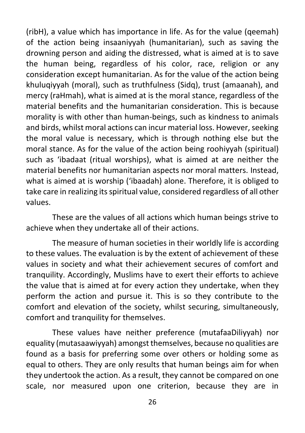(ribH), a value which has importance in life. As for the value (qeemah) of the action being insaaniyyah (humanitarian), such as saving the drowning person and aiding the distressed, what is aimed at is to save the human being, regardless of his color, race, religion or any consideration except humanitarian. As for the value of the action being khuluqiyyah (moral), such as truthfulness (Sidq), trust (amaanah), and mercy (raHmah), what is aimed at is the moral stance, regardless of the material benefits and the humanitarian consideration. This is because morality is with other than human-beings, such as kindness to animals and birds, whilst moral actions can incur material loss. However, seeking the moral value is necessary, which is through nothing else but the moral stance. As for the value of the action being roohiyyah (spiritual) such as 'ibadaat (ritual worships), what is aimed at are neither the material benefits nor humanitarian aspects nor moral matters. Instead, what is aimed at is worship ('ibaadah) alone. Therefore, it is obliged to take care in realizing its spiritual value, considered regardless of all other values.

These are the values of all actions which human beings strive to achieve when they undertake all of their actions.

The measure of human societies in their worldly life is according to these values. The evaluation is by the extent of achievement of these values in society and what their achievement secures of comfort and tranquility. Accordingly, Muslims have to exert their efforts to achieve the value that is aimed at for every action they undertake, when they perform the action and pursue it. This is so they contribute to the comfort and elevation of the society, whilst securing, simultaneously, comfort and tranquility for themselves.

These values have neither preference (mutafaaDiliyyah) nor equality (mutasaawiyyah) amongst themselves, because no qualities are found as a basis for preferring some over others or holding some as equal to others. They are only results that human beings aim for when they undertook the action. As a result, they cannot be compared on one scale, nor measured upon one criterion, because they are in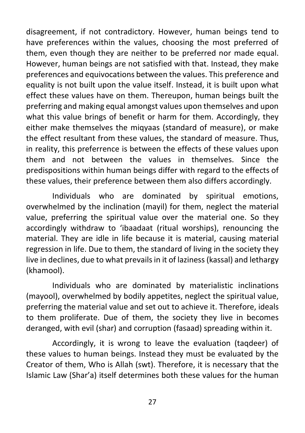disagreement, if not contradictory. However, human beings tend to have preferences within the values, choosing the most preferred of them, even though they are neither to be preferred nor made equal. However, human beings are not satisfied with that. Instead, they make preferences and equivocations between the values. This preference and equality is not built upon the value itself. Instead, it is built upon what effect these values have on them. Thereupon, human beings built the preferring and making equal amongst values upon themselves and upon what this value brings of benefit or harm for them. Accordingly, they either make themselves the miqyaas (standard of measure), or make the effect resultant from these values, the standard of measure. Thus, in reality, this preferrence is between the effects of these values upon them and not between the values in themselves. Since the predispositions within human beings differ with regard to the effects of these values, their preference between them also differs accordingly.

Individuals who are dominated by spiritual emotions, overwhelmed by the inclination (mayil) for them, neglect the material value, preferring the spiritual value over the material one. So they accordingly withdraw to 'ibaadaat (ritual worships), renouncing the material. They are idle in life because it is material, causing material regression in life. Due to them, the standard of living in the society they live in declines, due to what prevails in it of laziness (kassal) and lethargy (khamool).

Individuals who are dominated by materialistic inclinations (mayool), overwhelmed by bodily appetites, neglect the spiritual value, preferring the material value and set out to achieve it. Therefore, ideals to them proliferate. Due of them, the society they live in becomes deranged, with evil (shar) and corruption (fasaad) spreading within it.

Accordingly, it is wrong to leave the evaluation (taqdeer) of these values to human beings. Instead they must be evaluated by the Creator of them, Who is Allah (swt). Therefore, it is necessary that the Islamic Law (Shar'a) itself determines both these values for the human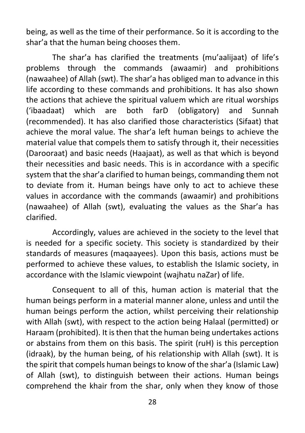being, as well as the time of their performance. So it is according to the shar'a that the human being chooses them.

The shar'a has clarified the treatments (mu'aalijaat) of life's problems through the commands (awaamir) and prohibitions (nawaahee) of Allah (swt). The shar'a has obliged man to advance in this life according to these commands and prohibitions. It has also shown the actions that achieve the spiritual valuem which are ritual worships ('ibaadaat) which are both farD (obligatory) and Sunnah (recommended). It has also clarified those characteristics (Sifaat) that achieve the moral value. The shar'a left human beings to achieve the material value that compels them to satisfy through it, their necessities (Darooraat) and basic needs (Haajaat), as well as that which is beyond their necessities and basic needs. This is in accordance with a specific system that the shar'a clarified to human beings, commanding them not to deviate from it. Human beings have only to act to achieve these values in accordance with the commands (awaamir) and prohibitions (nawaahee) of Allah (swt), evaluating the values as the Shar'a has clarified.

Accordingly, values are achieved in the society to the level that is needed for a specific society. This society is standardized by their standards of measures (maqaayees). Upon this basis, actions must be performed to achieve these values, to establish the Islamic society, in accordance with the Islamic viewpoint (wajhatu naZar) of life.

Consequent to all of this, human action is material that the human beings perform in a material manner alone, unless and until the human beings perform the action, whilst perceiving their relationship with Allah (swt), with respect to the action being Halaal (permitted) or Haraam (prohibited). It is then that the human being undertakes actions or abstains from them on this basis. The spirit (ruH) is this perception (idraak), by the human being, of his relationship with Allah (swt). It is the spirit that compels human beings to know of the shar'a (Islamic Law) of Allah (swt), to distinguish between their actions. Human beings comprehend the khair from the shar, only when they know of those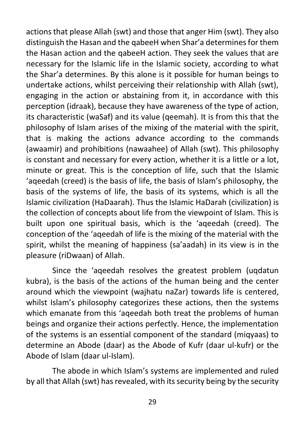actions that please Allah (swt) and those that anger Him (swt). They also distinguish the Hasan and the qabeeH when Shar'a determines for them the Hasan action and the qabeeH action. They seek the values that are necessary for the Islamic life in the Islamic society, according to what the Shar'a determines. By this alone is it possible for human beings to undertake actions, whilst perceiving their relationship with Allah (swt), engaging in the action or abstaining from it, in accordance with this perception (idraak), because they have awareness of the type of action, its characteristic (waSaf) and its value (qeemah). It is from this that the philosophy of Islam arises of the mixing of the material with the spirit, that is making the actions advance according to the commands (awaamir) and prohibitions (nawaahee) of Allah (swt). This philosophy is constant and necessary for every action, whether it is a little or a lot, minute or great. This is the conception of life, such that the Islamic 'aqeedah (creed) is the basis of life, the basis of Islam's philosophy, the basis of the systems of life, the basis of its systems, which is all the Islamic civilization (HaDaarah). Thus the Islamic HaDarah (civilization) is the collection of concepts about life from the viewpoint of Islam. This is built upon one spiritual basis, which is the 'aqeedah (creed). The conception of the 'aqeedah of life is the mixing of the material with the spirit, whilst the meaning of happiness (sa'aadah) in its view is in the pleasure (riDwaan) of Allah.

Since the 'aqeedah resolves the greatest problem (uqdatun kubra), is the basis of the actions of the human being and the center around which the viewpoint (wajhatu naZar) towards life is centered, whilst Islam's philosophy categorizes these actions, then the systems which emanate from this 'ageedah both treat the problems of human beings and organize their actions perfectly. Hence, the implementation of the systems is an essential component of the standard (miqyaas) to determine an Abode (daar) as the Abode of Kufr (daar ul-kufr) or the Abode of Islam (daar ul-Islam).

The abode in which Islam's systems are implemented and ruled by all that Allah (swt) has revealed, with its security being by the security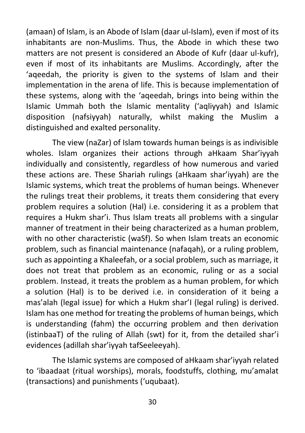(amaan) of Islam, is an Abode of Islam (daar ul-Islam), even if most of its inhabitants are non-Muslims. Thus, the Abode in which these two matters are not present is considered an Abode of Kufr (daar ul-kufr), even if most of its inhabitants are Muslims. Accordingly, after the 'aqeedah, the priority is given to the systems of Islam and their implementation in the arena of life. This is because implementation of these systems, along with the 'aqeedah, brings into being within the Islamic Ummah both the Islamic mentality ('aqliyyah) and Islamic disposition (nafsiyyah) naturally, whilst making the Muslim a distinguished and exalted personality.

The view (naZar) of Islam towards human beings is as indivisible wholes. Islam organizes their actions through aHkaam Shar'iyyah individually and consistently, regardless of how numerous and varied these actions are. These Shariah rulings (aHkaam shar'iyyah) are the Islamic systems, which treat the problems of human beings. Whenever the rulings treat their problems, it treats them considering that every problem requires a solution (Hal) i.e. considering it as a problem that requires a Hukm shar'i. Thus Islam treats all problems with a singular manner of treatment in their being characterized as a human problem, with no other characteristic (waSf). So when Islam treats an economic problem, such as financial maintenance (nafaqah), or a ruling problem, such as appointing a Khaleefah, or a social problem, such as marriage, it does not treat that problem as an economic, ruling or as a social problem. Instead, it treats the problem as a human problem, for which a solution (Hal) is to be derived i.e. in consideration of it being a mas'alah (legal issue) for which a Hukm shar'I (legal ruling) is derived. Islam has one method for treating the problems of human beings, which is understanding (fahm) the occurring problem and then derivation (istinbaaT) of the ruling of Allah (swt) for it, from the detailed shar'i evidences (adillah shar'iyyah tafSeeleeyah).

The Islamic systems are composed of aHkaam shar'iyyah related to 'ibaadaat (ritual worships), morals, foodstuffs, clothing, mu'amalat (transactions) and punishments ('uqubaat).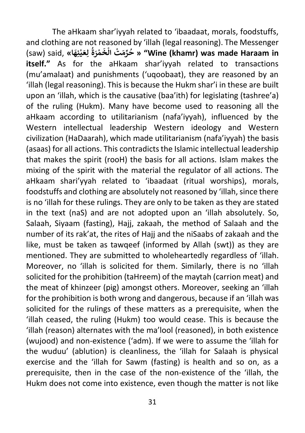The aHkaam shar'iyyah related to 'ibaadaat, morals, foodstuffs, and clothing are not reasoned by 'illah (legal reasoning). The Messenger and clothing are not reasoned<br>حُرِّمَتْ الْخَمْرَةُ لِعَيْنِهَا» ,said (saw) **ُ ْ ْ َ خ ال" « Wine (khamr) was made Haraam in ْ itself."** As for the aHkaam shar'iyyah related to transactions (mu'amalaat) and punishments ('uqoobaat), they are reasoned by an 'illah (legal reasoning). This is because the Hukm shar'i in these are built upon an 'illah, which is the causative (baa'ith) for legislating (tashree'a) of the ruling (Hukm). Many have become used to reasoning all the aHkaam according to utilitarianism (nafa'iyyah), influenced by the Western intellectual leadership Western ideology and Western civilization (HaDaarah), which made utilitarianism (nafa'iyyah) the basis (asaas) for all actions. This contradicts the Islamic intellectual leadership that makes the spirit (rooH) the basis for all actions. Islam makes the mixing of the spirit with the material the regulator of all actions. The aHkaam shari'yyah related to 'ibaadaat (ritual worships), morals, foodstuffs and clothing are absolutely not reasoned by 'illah, since there is no 'illah for these rulings. They are only to be taken as they are stated in the text (naS) and are not adopted upon an 'illah absolutely. So, Salaah, Siyaam (fasting), Hajj, zakaah, the method of Salaah and the number of its rak'at, the rites of Hajj and the niSaabs of zakaah and the like, must be taken as tawqeef (informed by Allah (swt)) as they are mentioned. They are submitted to wholeheartedly regardless of 'illah. Moreover, no 'illah is solicited for them. Similarly, there is no 'illah solicited for the prohibition (taHreem) of the maytah (carrion meat) and the meat of khinzeer (pig) amongst others. Moreover, seeking an 'illah for the prohibition is both wrong and dangerous, because if an 'illah was solicited for the rulings of these matters as a prerequisite, when the 'illah ceased, the ruling (Hukm) too would cease. This is because the 'illah (reason) alternates with the ma'lool (reasoned), in both existence (wujood) and non-existence ('adm). If we were to assume the 'illah for the wuduu' (ablution) is cleanliness, the 'illah for Salaah is physical exercise and the 'illah for Sawm (fasting) is health and so on, as a prerequisite, then in the case of the non-existence of the 'illah, the Hukm does not come into existence, even though the matter is not like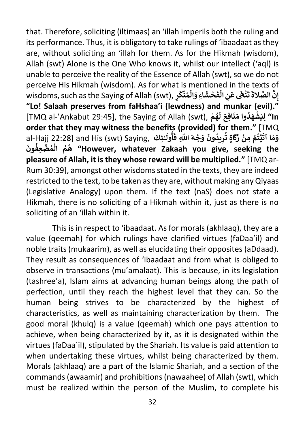that. Therefore, soliciting (iltimaas) an 'illah imperils both the ruling and its performance. Thus, it is obligatory to take rulings of 'ibaadaat as they are, without soliciting an 'illah for them. As for the Hikmah (wisdom), Allah (swt) Alone is the One Who knows it, whilst our intellect ('aql) is unable to perceive the reality of the Essence of Allah (swt), so we do not perceive His Hikmah (wisdom). As for what is mentioned in the texts of wisdoms, such as the Saying of Allah (swt), **ِ ر َ ك ن م ال ِاء و ْ ُ ْ ََ ش ح ْ َ** س س س عبد<br>**نْهَى عَنِ الْفَ ْ ْ** ان د.<br>إِ**نَّ الصَّلاةَ تَ**<br>. **إ "Lo! Salaah preserves from faHshaa'i (lewdness) and munkar (evil)."**  [TMQ al-'Ankabut 29:45], the Saying of Allah (swt), **ْ م ه** -<br>وُ الا لِيَشْهَدُوا مَنَافِعَ لَـ<br>In' لِيَشْهَدُوا مَنَافِعَ لَـ **ُْ order that they may witness the benefits (provided) for them."** [TMQ al-Hajj 22:28] and His (swt) Saying, **َئكِ ٰ َ ول أ ُ َ ِ ف َ اَّلل َّ ه ج َ و َ ون يد ِ ر ٍاة ت َ ك َ ْ ز ِ من م ت ي ْ ُُ ْ** ا<br>• **ْ َ َ**.<br>وَمَا آتَ **َ ون ِعف ض م ُ ال م ه" However, whatever Zakaah you give, seeking the ُ ْ ُ ْ ُ pleasure of Allah, it is they whose reward will be multiplied."** [TMQ ar-Rum 30:39], amongst other wisdoms stated in the texts, they are indeed restricted to the text, to be taken as they are, without making any Qiyaas (Legislative Analogy) upon them. If the text (naS) does not state a Hikmah, there is no soliciting of a Hikmah within it, just as there is no soliciting of an 'illah within it.

This is in respect to 'ibaadaat. As for morals (akhlaaq), they are a value (qeemah) for which rulings have clarified virtues (faDaa'il) and noble traits (mukaarim), as well as elucidating their opposites (aDdaad). They result as consequences of 'ibaadaat and from what is obliged to observe in transactions (mu'amalaat). This is because, in its legislation (tashree'a), Islam aims at advancing human beings along the path of perfection, until they reach the highest level that they can. So the human being strives to be characterized by the highest of characteristics, as well as maintaining characterization by them. The good moral (khulq) is a value (qeemah) which one pays attention to achieve, when being characterized by it, as it is designated within the virtues (faDaa`il), stipulated by the Shariah. Its value is paid attention to when undertaking these virtues, whilst being characterized by them. Morals (akhlaaq) are a part of the Islamic Shariah, and a section of the commands (awaamir) and prohibitions (nawaahee) of Allah (swt), which must be realized within the person of the Muslim, to complete his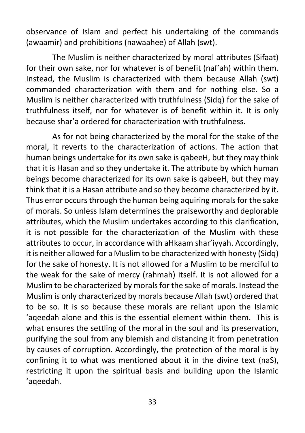observance of Islam and perfect his undertaking of the commands (awaamir) and prohibitions (nawaahee) of Allah (swt).

The Muslim is neither characterized by moral attributes (Sifaat) for their own sake, nor for whatever is of benefit (naf'ah) within them. Instead, the Muslim is characterized with them because Allah (swt) commanded characterization with them and for nothing else. So a Muslim is neither characterized with truthfulness (Sidq) for the sake of truthfulness itself, nor for whatever is of benefit within it. It is only because shar'a ordered for characterization with truthfulness.

As for not being characterized by the moral for the stake of the moral, it reverts to the characterization of actions. The action that human beings undertake for its own sake is qabeeH, but they may think that it is Hasan and so they undertake it. The attribute by which human beings become characterized for its own sake is qabeeH, but they may think that it is a Hasan attribute and so they become characterized by it. Thus error occurs through the human being aquiring morals for the sake of morals. So unless Islam determines the praiseworthy and deplorable attributes, which the Muslim undertakes according to this clarification, it is not possible for the characterization of the Muslim with these attributes to occur, in accordance with aHkaam shar'iyyah. Accordingly, it is neither allowed for a Muslim to be characterized with honesty (Sidq) for the sake of honesty. It is not allowed for a Muslim to be merciful to the weak for the sake of mercy (rahmah) itself. It is not allowed for a Muslim to be characterized by morals for the sake of morals. Instead the Muslim is only characterized by morals because Allah (swt) ordered that to be so. It is so because these morals are reliant upon the Islamic 'aqeedah alone and this is the essential element within them. This is what ensures the settling of the moral in the soul and its preservation, purifying the soul from any blemish and distancing it from penetration by causes of corruption. Accordingly, the protection of the moral is by confining it to what was mentioned about it in the divine text (naS), restricting it upon the spiritual basis and building upon the Islamic 'aqeedah.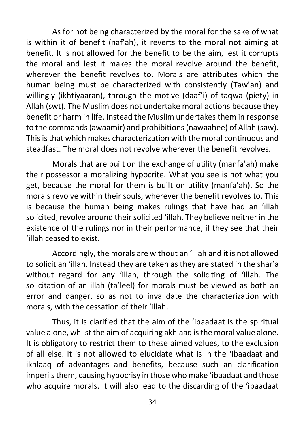As for not being characterized by the moral for the sake of what is within it of benefit (naf'ah), it reverts to the moral not aiming at benefit. It is not allowed for the benefit to be the aim, lest it corrupts the moral and lest it makes the moral revolve around the benefit, wherever the benefit revolves to. Morals are attributes which the human being must be characterized with consistently (Taw'an) and willingly (ikhtiyaaran), through the motive (daaf'i) of taqwa (piety) in Allah (swt). The Muslim does not undertake moral actions because they benefit or harm in life. Instead the Muslim undertakes them in response to the commands (awaamir) and prohibitions (nawaahee) of Allah (saw). This is that which makes characterization with the moral continuous and steadfast. The moral does not revolve wherever the benefit revolves.

Morals that are built on the exchange of utility (manfa'ah) make their possessor a moralizing hypocrite. What you see is not what you get, because the moral for them is built on utility (manfa'ah). So the morals revolve within their souls, wherever the benefit revolves to. This is because the human being makes rulings that have had an 'illah solicited, revolve around their solicited 'illah. They believe neither in the existence of the rulings nor in their performance, if they see that their 'illah ceased to exist.

Accordingly, the morals are without an 'illah and it is not allowed to solicit an 'illah. Instead they are taken as they are stated in the shar'a without regard for any 'illah, through the soliciting of 'illah. The solicitation of an illah (ta'leel) for morals must be viewed as both an error and danger, so as not to invalidate the characterization with morals, with the cessation of their 'illah.

Thus, it is clarified that the aim of the 'ibaadaat is the spiritual value alone, whilst the aim of acquiring akhlaaq is the moral value alone. It is obligatory to restrict them to these aimed values, to the exclusion of all else. It is not allowed to elucidate what is in the 'ibaadaat and ikhlaaq of advantages and benefits, because such an clarification imperils them, causing hypocrisy in those who make 'ibaadaat and those who acquire morals. It will also lead to the discarding of the 'ibaadaat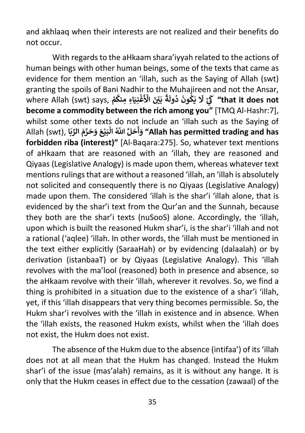and akhlaaq when their interests are not realized and their benefits do not occur.

With regards to the aHkaam shara'iyyah related to the actions of human beings with other human beings, some of the texts that came as evidence for them mention an 'illah, such as the Saying of Allah (swt) granting the spoils of Bani Nadhir to the Muhajireen and not the Ansar, where Allah (swt) says, **م ِاء ِ منك َ ِني غ ْ ُ ْ َ ْ َ اْل ي ْ َ ب ً ة َ ُ ول د َ ون ك َ ي ُ َ ْ َل َ ك" that it does not ي become a commodity between the rich among you"** [TMQ Al-Hashr:7], whilst some other texts do not include an 'illah such as the Saying of Allah (swt), الْكَبَيْرَ وَحَرَّمَ الرَّبَيْعَ وَحَرَّمَ الرَّبَابُ) Allah (swt), النَّبِيعَ وَحَرَّمَ الرَّبَ **ْ ْ أ forbidden riba (interest)"** [Al-Baqara:275]. So, whatever text mentions of aHkaam that are reasoned with an 'illah, they are reasoned and Qiyaas (Legislative Analogy) is made upon them, whereas whatever text mentions rulings that are without a reasoned 'illah, an 'illah is absolutely not solicited and consequently there is no Qiyaas (Legislative Analogy) made upon them. The considered 'illah is the shar'i 'illah alone, that is evidenced by the shar'i text from the Qur'an and the Sunnah, because they both are the shar'i texts (nuSooS) alone. Accordingly, the 'illah, upon which is built the reasoned Hukm shar'i, is the shar'i 'illah and not a rational ('aqlee) 'illah. In other words, the 'illah must be mentioned in the text either explicitly (SaraaHah) or by evidencing (dalaalah) or by derivation (istanbaaT) or by Qiyaas (Legislative Analogy). This 'illah revolves with the ma'lool (reasoned) both in presence and absence, so the aHkaam revolve with their 'illah, wherever it revolves. So, we find a thing is prohibited in a situation due to the existence of a shar'i 'illah, yet, if this 'illah disappears that very thing becomes permissible. So, the Hukm shar'i revolves with the 'illah in existence and in absence. When the 'illah exists, the reasoned Hukm exists, whilst when the 'illah does not exist, the Hukm does not exist.

The absence of the Hukm due to the absence (intifaa') of its 'illah does not at all mean that the Hukm has changed. Instead the Hukm shar'i of the issue (mas'alah) remains, as it is without any hange. It is only that the Hukm ceases in effect due to the cessation (zawaal) of the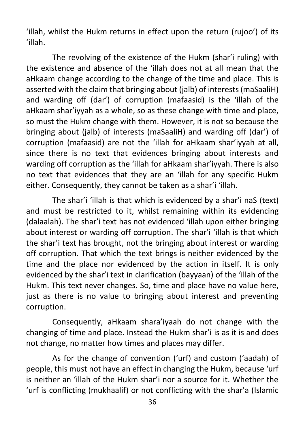'illah, whilst the Hukm returns in effect upon the return (rujoo') of its 'illah.

The revolving of the existence of the Hukm (shar'i ruling) with the existence and absence of the 'illah does not at all mean that the aHkaam change according to the change of the time and place. This is asserted with the claim that bringing about (jalb) of interests (maSaaliH) and warding off (dar') of corruption (mafaasid) is the 'illah of the aHkaam shar'iyyah as a whole, so as these change with time and place, so must the Hukm change with them. However, it is not so because the bringing about (jalb) of interests (maSaaliH) and warding off (dar') of corruption (mafaasid) are not the 'illah for aHkaam shar'iyyah at all, since there is no text that evidences bringing about interests and warding off corruption as the 'illah for aHkaam shar'iyyah. There is also no text that evidences that they are an 'illah for any specific Hukm either. Consequently, they cannot be taken as a shar'i 'illah.

The shar'i 'illah is that which is evidenced by a shar'i naS (text) and must be restricted to it, whilst remaining within its evidencing (dalaalah). The shar'i text has not evidenced 'illah upon either bringing about interest or warding off corruption. The shar'i 'illah is that which the shar'i text has brought, not the bringing about interest or warding off corruption. That which the text brings is neither evidenced by the time and the place nor evidenced by the action in itself. It is only evidenced by the shar'i text in clarification (bayyaan) of the 'illah of the Hukm. This text never changes. So, time and place have no value here, just as there is no value to bringing about interest and preventing corruption.

Consequently, aHkaam shara'iyaah do not change with the changing of time and place. Instead the Hukm shar'i is as it is and does not change, no matter how times and places may differ.

As for the change of convention ('urf) and custom ('aadah) of people, this must not have an effect in changing the Hukm, because 'urf is neither an 'illah of the Hukm shar'i nor a source for it. Whether the 'urf is conflicting (mukhaalif) or not conflicting with the shar'a (Islamic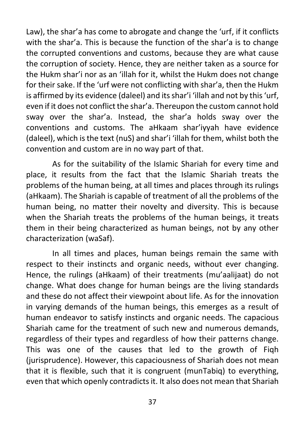Law), the shar'a has come to abrogate and change the 'urf, if it conflicts with the shar'a. This is because the function of the shar'a is to change the corrupted conventions and customs, because they are what cause the corruption of society. Hence, they are neither taken as a source for the Hukm shar'i nor as an 'illah for it, whilst the Hukm does not change for their sake. If the 'urf were not conflicting with shar'a, then the Hukm is affirmed by its evidence (daleel) and its shar'i 'illah and not by this 'urf, even if it does not conflict the shar'a. Thereupon the custom cannot hold sway over the shar'a. Instead, the shar'a holds sway over the conventions and customs. The aHkaam shar'iyyah have evidence (daleel), which is the text (nuS) and shar'i 'illah for them, whilst both the convention and custom are in no way part of that.

As for the suitability of the Islamic Shariah for every time and place, it results from the fact that the Islamic Shariah treats the problems of the human being, at all times and places through its rulings (aHkaam). The Shariah is capable of treatment of all the problems of the human being, no matter their novelty and diversity. This is because when the Shariah treats the problems of the human beings, it treats them in their being characterized as human beings, not by any other characterization (waSaf).

In all times and places, human beings remain the same with respect to their instincts and organic needs, without ever changing. Hence, the rulings (aHkaam) of their treatments (mu'aalijaat) do not change. What does change for human beings are the living standards and these do not affect their viewpoint about life. As for the innovation in varying demands of the human beings, this emerges as a result of human endeavor to satisfy instincts and organic needs. The capacious Shariah came for the treatment of such new and numerous demands, regardless of their types and regardless of how their patterns change. This was one of the causes that led to the growth of Fiqh (jurisprudence). However, this capaciousness of Shariah does not mean that it is flexible, such that it is congruent (munTabiq) to everything, even that which openly contradicts it. It also does not mean that Shariah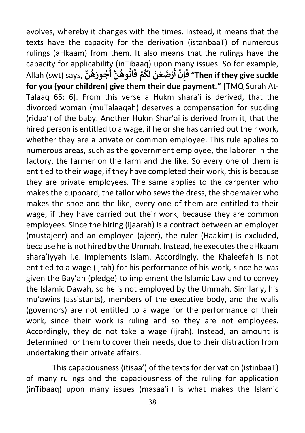evolves, whereby it changes with the times. Instead, it means that the texts have the capacity for the derivation (istanbaaT) of numerous rulings (aHkaam) from them. It also means that the rulings have the capacity for applicability (inTibaaq) upon many issues. So for example, Allah (swt) says, **َّ ن ه َ ور ج َّ أ ن وه آت ْ ف م ك ُ ُ ُ ُ ُ َُ َ َ ل ن ع ْ َ ض ر ْ َ ْ أ ِن إ َ ف" Then if they give suckle for you (your children) give them their due payment."** [TMQ Surah At-Talaaq 65: 6]. From this verse a Hukm shara'i is derived, that the divorced woman (muTalaaqah) deserves a compensation for suckling (ridaa') of the baby. Another Hukm Shar'ai is derived from it, that the hired person is entitled to a wage, if he or she has carried out their work, whether they are a private or common employee. This rule applies to numerous areas, such as the government employee, the laborer in the factory, the farmer on the farm and the like. So every one of them is entitled to their wage, if they have completed their work, this is because they are private employees. The same applies to the carpenter who makes the cupboard, the tailor who sews the dress, the shoemaker who makes the shoe and the like, every one of them are entitled to their wage, if they have carried out their work, because they are common employees. Since the hiring (ijaarah) is a contract between an employer (mustajeer) and an employee (ajeer), the ruler (Haakim) is excluded, because he is not hired by the Ummah. Instead, he executes the aHkaam shara'iyyah i.e. implements Islam. Accordingly, the Khaleefah is not entitled to a wage (ijrah) for his performance of his work, since he was given the Bay'ah (pledge) to implement the Islamic Law and to convey the Islamic Dawah, so he is not employed by the Ummah. Similarly, his mu'awins (assistants), members of the executive body, and the walis (governors) are not entitled to a wage for the performance of their work, since their work is ruling and so they are not employees. Accordingly, they do not take a wage (ijrah). Instead, an amount is determined for them to cover their needs, due to their distraction from undertaking their private affairs.

This capaciousness (itisaa') of the texts for derivation (istinbaaT) of many rulings and the capaciousness of the ruling for application (inTibaaq) upon many issues (masaa'il) is what makes the Islamic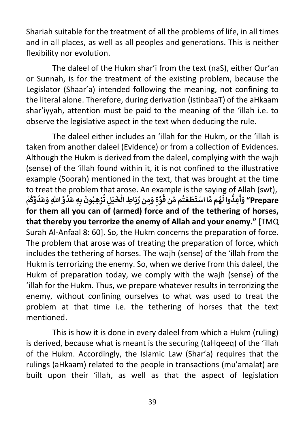Shariah suitable for the treatment of all the problems of life, in all times and in all places, as well as all peoples and generations. This is neither flexibility nor evolution.

The daleel of the Hukm shar'i from the text (naS), either Qur'an or Sunnah, is for the treatment of the existing problem, because the Legislator (Shaar'a) intended following the meaning, not confining to the literal alone. Therefore, during derivation (istinbaaT) of the aHkaam shar'iyyah, attention must be paid to the meaning of the 'illah i.e. to observe the legislative aspect in the text when deducing the rule.

The daleel either includes an 'illah for the Hukm, or the 'illah is taken from another daleel (Evidence) or from a collection of Evidences. Although the Hukm is derived from the daleel, complying with the wajh (sense) of the 'illah found within it, it is not confined to the illustrative example (Soorah) mentioned in the text, that was brought at the time to treat the problem that arose. An example is the saying of Allah (swt), **َ ْ** to treat the problem that<br>يْلٍ تُرْهِبُونَ بِهِ عَدُوَّ اللَّهِ وَعَدُوَّكُمْ **ُ ُ ُ ْ ُ ْ َ** diose: An example is the sayin<br>هُم مَّا اسْتَطَعْتُم مِّن قُوَّةٍ وَمِن رِّبَاطِ الْخَ **ْ ُ ِّ**ا<br>• **ْ َُّ َ ُّ وا ل ِعد َ Prepare "و أ for them all you can of (armed) force and of the tethering of horses, that thereby you terrorize the enemy of Allah and your enemy."** [TMQ Surah Al-Anfaal 8: 60]. So, the Hukm concerns the preparation of force. The problem that arose was of treating the preparation of force, which includes the tethering of horses. The wajh (sense) of the 'illah from the Hukm is terrorizing the enemy. So, when we derive from this daleel, the Hukm of preparation today, we comply with the wajh (sense) of the 'illah for the Hukm. Thus, we prepare whatever results in terrorizing the enemy, without confining ourselves to what was used to treat the problem at that time i.e. the tethering of horses that the text mentioned.

This is how it is done in every daleel from which a Hukm (ruling) is derived, because what is meant is the securing (taHqeeq) of the 'illah of the Hukm. Accordingly, the Islamic Law (Shar'a) requires that the rulings (aHkaam) related to the people in transactions (mu'amalat) are built upon their 'illah, as well as that the aspect of legislation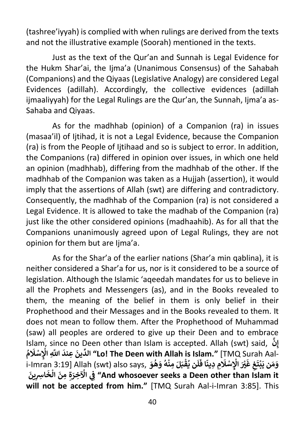(tashree'iyyah) is complied with when rulings are derived from the texts and not the illustrative example (Soorah) mentioned in the texts.

Just as the text of the Qur'an and Sunnah is Legal Evidence for the Hukm Shar'ai, the Ijma'a (Unanimous Consensus) of the Sahabah (Companions) and the Qiyaas (Legislative Analogy) are considered Legal Evidences (adillah). Accordingly, the collective evidences (adillah ijmaaliyyah) for the Legal Rulings are the Qur'an, the Sunnah, Ijma'a as-Sahaba and Qiyaas.

As for the madhhab (opinion) of a Companion (ra) in issues (masaa'il) of Ijtihad, it is not a Legal Evidence, because the Companion (ra) is from the People of Ijtihaad and so is subject to error. In addition, the Companions (ra) differed in opinion over issues, in which one held an opinion (madhhab), differing from the madhhab of the other. If the madhhab of the Companion was taken as a Huijah (assertion), it would imply that the assertions of Allah (swt) are differing and contradictory. Consequently, the madhhab of the Companion (ra) is not considered a Legal Evidence. It is allowed to take the madhab of the Companion (ra) just like the other considered opinions (madhaahib). As for all that the Companions unanimously agreed upon of Legal Rulings, they are not opinion for them but are lima'a.

As for the Shar'a of the earlier nations (Shar'a min qablina), it is neither considered a Shar'a for us, nor is it considered to be a source of legislation. Although the Islamic 'aqeedah mandates for us to believe in all the Prophets and Messengers (as), and in the Books revealed to them, the meaning of the belief in them is only belief in their Prophethood and their Messages and in the Books revealed to them. It does not mean to follow them. After the Prophethood of Muhammad (saw) all peoples are ordered to give up their Deen and to embrace Islam, since no Deen other than Islam is accepted. Allah (swt) said, **َّ ِن إ ُ م َ ل ِ سْ ِ اْل َ اَّلل َّ ِ عند َ ين ِّ الد" Lo! The Deen with Allah is Islam."** [TMQ Surah Aal-**ْ** i-Imran 3:19] Allah (swt) also says, **َ و ه َ و ه ِ من َ ل َ ب ق ن ي ُ ُ ْ ْ ُ َ ل َ ًا ف ِ ِ دين م َ ل ِ سْ <sup>ي</sup> َْ اْل َ ْ غ ِ غ َ ت ب َ ن ي م َ و ْ ََ ين ِ اشِ َ خ َ ال ِ ِ من ة َ ِخر اْل ِي ف" And whosoever seeks a Deen other than Islam it ْ ْ will not be accepted from him."** [TMQ Surah Aal-i-Imran 3:85]. This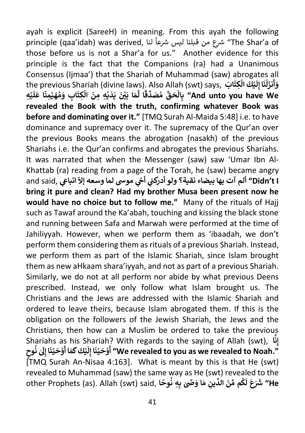ayah is explicit (SareeH) in meaning. From this ayah the following ayan is explicit (sareen) in meaning. Hom this ayan the following<br>principle (qaa'idah) was derived, سلامع من قبلنا ليس شرعاً لنا أن "The Shar'a of those before us is not a Shar'a for us." Another evidence for this principle is the fact that the Companions (ra) had a Unanimous Consensus (Ijmaa') that the Shariah of Muhammad (saw) abrogates all the previous Shariah (divine laws). Also Allah (swt) says, **َ ابَ ِكت كَ ال ي ْ ْ َ ل ِ َا إ ن ل َ نز ْ َ َ و أ ِه ي ْ َ** ابِ وَمُهَيْمِنًا عَلَ<br>ابِ وَمُهَيْمِنًا عَلَ **ْ ُ** aman (annic tan)<br>هَا بَيْنَ يَدَيْهِ مِنَ الْكِتَ **ْ ْ َِّ ا ل ً** قَالِمِيْتِ بِمَّاسِ (And unto you have We<sup>لِ</sup> بِالْحَقِّ مُصَدِّقًا **ُ ْ revealed the Book with the truth, confirming whatever Book was before and dominating over it."** [TMQ Surah Al-Maida 5:48] i.e. to have dominance and supremacy over it. The supremacy of the Qur'an over the previous Books means the abrogation (nasakh) of the previous Shariahs i.e. the Qur'an confirms and abrogates the previous Shariahs. It was narrated that when the Messenger (saw) saw 'Umar Ibn Al-Khattab (ra) reading from a page of the Torah, he (saw) became angry المجمد السلام المسلمي المسلمين المسلمين المسلمين المسلمين المسلمين المسلمين and said, تجمل الله على المسلمين<br><mark>"Didn't I ألم آت بها بيضاء نقية؟ ولو أدركني أخي موسى لما وسعه إلاّ اتباعي الله على الله</mark> **ي bring it pure and clean? Had my brother Musa been present now he would have no choice but to follow me."** Many of the rituals of Hajj such as Tawaf around the Ka'abah, touching and kissing the black stone and running between Safa and Marwah were performed at the time of Jahiliyyah. However, when we perform them as 'ibaadah, we don't perform them considering them as rituals of a previous Shariah. Instead, we perform them as part of the Islamic Shariah, since Islam brought them as new aHkaam shara'iyyah, and not as part of a previous Shariah. Similarly, we do not at all perform nor abide by what previous Deens prescribed. Instead, we only follow what Islam brought us. The Christians and the Jews are addressed with the Islamic Shariah and ordered to leave theirs, because Islam abrogated them. If this is the obligation on the followers of the Jewish Shariah, the Jews and the Christians, then how can a Muslim be ordered to take the previous Shariahs as his Shariah? With regards to the saying of Allah (swt), **ا َّ i** his Shariah? With regards to the saying of Allah (swt), إِنَّا  $\frac{1}{2}$ **إ** , ز.<br>کی نُوحِ<br>معموم **ُ** .. ده د.....<br>مَا أَوْحَيْنَا إِلَىٰ **ْ ْ ََ كَ ك ي ْ َ ل ِ َا إ ن ي َ ح و أ" We revealed to you as we revealed to Noah." ْ ْ** [TMQ Surah An-Nisaa 4:163]. What is meant by this is that He (swt) revealed to Muhammad (saw) the same way as He (swt) revealed to the other Prophets (as). Allah (swt) said, **ا ً وح ِِه ن َ ََّّصٰ ب ا و م ِ ين ِّ َ الد ن ِّ م م ك ُ َ**ر<br>م **َ َ ل ع َ َش َ "He**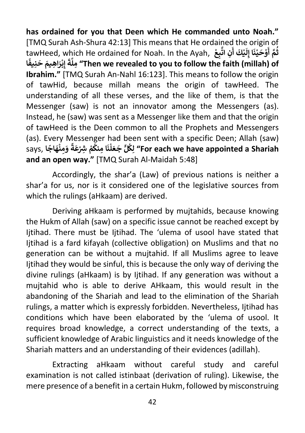**has ordained for you that Deen which He commanded unto Noah."**  [TMQ Surah Ash-Shura 42:13] This means that He ordained the origin of tawHeed, which He ordained for Noah. In the Ayah, **ْ ِع ب َّ ِن ات َ كَ أ ي ْ َ ل ِ َا إ ن ي َ ح و ْ ْ َ َّ أ م ث ُ ا ً ِنيف َ َ ح ِ اهيم َ ر ب ِ إ ْ َ ة َّ ملِ" Then we revealed to you to follow the faith (millah) of Ibrahim."** [TMQ Surah An-Nahl 16:123]. This means to follow the origin of tawHid, because millah means the origin of tawHeed. The understanding of all these verses, and the like of them, is that the Messenger (saw) is not an innovator among the Messengers (as). Instead, he (saw) was sent as a Messenger like them and that the origin of tawHeed is the Deen common to all the Prophets and Messengers (as). Every Messenger had been sent with a specific Deen; Allah (saw) **says, فَعِنْهَاجًا َْ ً** رکانا دی استعمال کردی (For each we have appointed a Shariah کِلگاً جَعَلْنَا مِنکُمْ شِرْعَةً **ْ ُ ْ ُ and an open way."** [TMQ Surah Al-Maidah 5:48]

Accordingly, the shar'a (Law) of previous nations is neither a shar'a for us, nor is it considered one of the legislative sources from which the rulings (aHkaam) are derived.

Deriving aHkaam is performed by mujtahids, because knowing the Hukm of Allah (saw) on a specific issue cannot be reached except by Ijtihad. There must be Ijtihad. The 'ulema of usool have stated that Ijtihad is a fard kifayah (collective obligation) on Muslims and that no generation can be without a mujtahid. If all Muslims agree to leave Ijtihad they would be sinful, this is because the only way of deriving the divine rulings (aHkaam) is by Ijtihad. If any generation was without a mujtahid who is able to derive AHkaam, this would result in the abandoning of the Shariah and lead to the elimination of the Shariah rulings, a matter which is expressly forbidden. Nevertheless, Ijtihad has conditions which have been elaborated by the 'ulema of usool. It requires broad knowledge, a correct understanding of the texts, a sufficient knowledge of Arabic linguistics and it needs knowledge of the Shariah matters and an understanding of their evidences (adillah).

Extracting aHkaam without careful study and careful examination is not called istinbaat (derivation of ruling). Likewise, the mere presence of a benefit in a certain Hukm, followed by misconstruing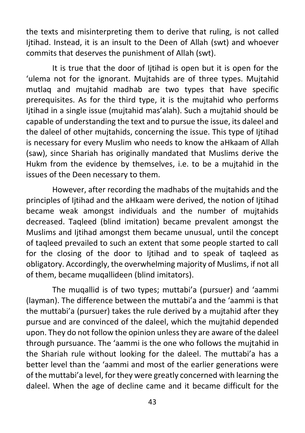the texts and misinterpreting them to derive that ruling, is not called Ijtihad. Instead, it is an insult to the Deen of Allah (swt) and whoever commits that deserves the punishment of Allah (swt).

It is true that the door of Ijtihad is open but it is open for the 'ulema not for the ignorant. Mujtahids are of three types. Mujtahid mutlaq and mujtahid madhab are two types that have specific prerequisites. As for the third type, it is the mujtahid who performs Ijtihad in a single issue (mujtahid mas'alah). Such a mujtahid should be capable of understanding the text and to pursue the issue, its daleel and the daleel of other mujtahids, concerning the issue. This type of Ijtihad is necessary for every Muslim who needs to know the aHkaam of Allah (saw), since Shariah has originally mandated that Muslims derive the Hukm from the evidence by themselves, i.e. to be a mujtahid in the issues of the Deen necessary to them.

However, after recording the madhabs of the mujtahids and the principles of Ijtihad and the aHkaam were derived, the notion of Ijtihad became weak amongst individuals and the number of mujtahids decreased. Taqleed (blind imitation) became prevalent amongst the Muslims and Ijtihad amongst them became unusual, until the concept of taqleed prevailed to such an extent that some people started to call for the closing of the door to Ijtihad and to speak of taqleed as obligatory. Accordingly, the overwhelming majority of Muslims, if not all of them, became muqallideen (blind imitators).

The muqallid is of two types; muttabi'a (pursuer) and 'aammi (layman). The difference between the muttabi'a and the 'aammi is that the muttabi'a (pursuer) takes the rule derived by a mujtahid after they pursue and are convinced of the daleel, which the mujtahid depended upon. They do not follow the opinion unless they are aware of the daleel through pursuance. The 'aammi is the one who follows the mujtahid in the Shariah rule without looking for the daleel. The muttabi'a has a better level than the 'aammi and most of the earlier generations were of the muttabi'a level, for they were greatly concerned with learning the daleel. When the age of decline came and it became difficult for the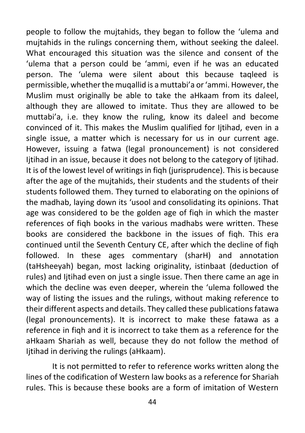people to follow the mujtahids, they began to follow the 'ulema and mujtahids in the rulings concerning them, without seeking the daleel. What encouraged this situation was the silence and consent of the 'ulema that a person could be 'ammi, even if he was an educated person. The 'ulema were silent about this because taqleed is permissible, whether the muqallid is a muttabi'a or 'ammi. However, the Muslim must originally be able to take the aHkaam from its daleel, although they are allowed to imitate. Thus they are allowed to be muttabi'a, i.e. they know the ruling, know its daleel and become convinced of it. This makes the Muslim qualified for Ijtihad, even in a single issue, a matter which is necessary for us in our current age. However, issuing a fatwa (legal pronouncement) is not considered Ijtihad in an issue, because it does not belong to the category of Ijtihad. It is of the lowest level of writings in figh (jurisprudence). This is because after the age of the mujtahids, their students and the students of their students followed them. They turned to elaborating on the opinions of the madhab, laying down its 'usool and consolidating its opinions. That age was considered to be the golden age of fiqh in which the master references of fiqh books in the various madhabs were written. These books are considered the backbone in the issues of figh. This era continued until the Seventh Century CE, after which the decline of fiqh followed. In these ages commentary (sharH) and annotation (taHsheeyah) began, most lacking originality, istinbaat (deduction of rules) and Ijtihad even on just a single issue. Then there came an age in which the decline was even deeper, wherein the 'ulema followed the way of listing the issues and the rulings, without making reference to their different aspects and details. They called these publications fatawa (legal pronouncements). It is incorrect to make these fatawa as a reference in fiqh and it is incorrect to take them as a reference for the aHkaam Shariah as well, because they do not follow the method of Ijtihad in deriving the rulings (aHkaam).

It is not permitted to refer to reference works written along the lines of the codification of Western law books as a reference for Shariah rules. This is because these books are a form of imitation of Western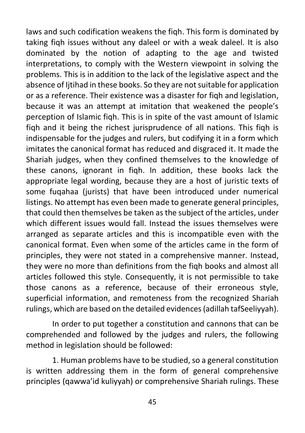laws and such codification weakens the fiqh. This form is dominated by taking fiqh issues without any daleel or with a weak daleel. It is also dominated by the notion of adapting to the age and twisted interpretations, to comply with the Western viewpoint in solving the problems. This is in addition to the lack of the legislative aspect and the absence of Ijtihad in these books. So they are not suitable for application or as a reference. Their existence was a disaster for fiqh and legislation, because it was an attempt at imitation that weakened the people's perception of Islamic fiqh. This is in spite of the vast amount of Islamic fiqh and it being the richest jurisprudence of all nations. This fiqh is indispensable for the judges and rulers, but codifying it in a form which imitates the canonical format has reduced and disgraced it. It made the Shariah judges, when they confined themselves to the knowledge of these canons, ignorant in fiqh. In addition, these books lack the appropriate legal wording, because they are a host of juristic texts of some fuqahaa (jurists) that have been introduced under numerical listings. No attempt has even been made to generate general principles, that could then themselves be taken as the subject of the articles, under which different issues would fall. Instead the issues themselves were arranged as separate articles and this is incompatible even with the canonical format. Even when some of the articles came in the form of principles, they were not stated in a comprehensive manner. Instead, they were no more than definitions from the fiqh books and almost all articles followed this style. Consequently, it is not permissible to take those canons as a reference, because of their erroneous style, superficial information, and remoteness from the recognized Shariah rulings, which are based on the detailed evidences (adillah tafSeeliyyah).

In order to put together a constitution and cannons that can be comprehended and followed by the judges and rulers, the following method in legislation should be followed:

1. Human problems have to be studied, so a general constitution is written addressing them in the form of general comprehensive principles (qawwa'id kuliyyah) or comprehensive Shariah rulings. These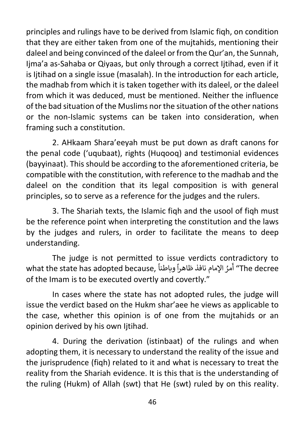principles and rulings have to be derived from Islamic fiqh, on condition that they are either taken from one of the mujtahids, mentioning their daleel and being convinced of the daleel or from the Qur'an, the Sunnah, Ijma'a as-Sahaba or Qiyaas, but only through a correct Ijtihad, even if it is litihad on a single issue (masalah). In the introduction for each article, the madhab from which it is taken together with its daleel, or the daleel from which it was deduced, must be mentioned. Neither the influence of the bad situation of the Muslims nor the situation of the other nations or the non-Islamic systems can be taken into consideration, when framing such a constitution.

2. AHkaam Shara'eeyah must be put down as draft canons for the penal code ('uqubaat), rights (Huqooq) and testimonial evidences (bayyinaat). This should be according to the aforementioned criteria, be compatible with the constitution, with reference to the madhab and the daleel on the condition that its legal composition is with general principles, so to serve as a reference for the judges and the rulers.

3. The Shariah texts, the Islamic fiqh and the usool of fiqh must be the reference point when interpreting the constitution and the laws by the judges and rulers, in order to facilitate the means to deep understanding.

The judge is not permitted to issue verdicts contradictory to  $\frac{1}{2}$ what the state has adopted because, ً ً وباطنا مرُ اإلمام نافذ ظاهرا أ" The decree of the Imam is to be executed overtly and covertly."

In cases where the state has not adopted rules, the judge will issue the verdict based on the Hukm shar'aee he views as applicable to the case, whether this opinion is of one from the mujtahids or an opinion derived by his own Ijtihad.

4. During the derivation (istinbaat) of the rulings and when adopting them, it is necessary to understand the reality of the issue and the jurisprudence (fiqh) related to it and what is necessary to treat the reality from the Shariah evidence. It is this that is the understanding of the ruling (Hukm) of Allah (swt) that He (swt) ruled by on this reality.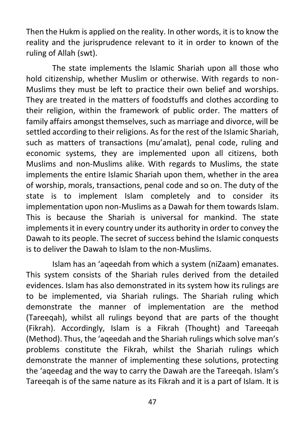Then the Hukm is applied on the reality. In other words, it is to know the reality and the jurisprudence relevant to it in order to known of the ruling of Allah (swt).

The state implements the Islamic Shariah upon all those who hold citizenship, whether Muslim or otherwise. With regards to non-Muslims they must be left to practice their own belief and worships. They are treated in the matters of foodstuffs and clothes according to their religion, within the framework of public order. The matters of family affairs amongst themselves, such as marriage and divorce, will be settled according to their religions. As for the rest of the Islamic Shariah, such as matters of transactions (mu'amalat), penal code, ruling and economic systems, they are implemented upon all citizens, both Muslims and non-Muslims alike. With regards to Muslims, the state implements the entire Islamic Shariah upon them, whether in the area of worship, morals, transactions, penal code and so on. The duty of the state is to implement Islam completely and to consider its implementation upon non-Muslims as a Dawah for them towards Islam. This is because the Shariah is universal for mankind. The state implements it in every country under its authority in order to convey the Dawah to its people. The secret of success behind the Islamic conquests is to deliver the Dawah to Islam to the non-Muslims.

Islam has an 'aqeedah from which a system (niZaam) emanates. This system consists of the Shariah rules derived from the detailed evidences. Islam has also demonstrated in its system how its rulings are to be implemented, via Shariah rulings. The Shariah ruling which demonstrate the manner of implementation are the method (Tareegah), whilst all rulings beyond that are parts of the thought (Fikrah). Accordingly, Islam is a Fikrah (Thought) and Tareeqah (Method). Thus, the 'aqeedah and the Shariah rulings which solve man's problems constitute the Fikrah, whilst the Shariah rulings which demonstrate the manner of implementing these solutions, protecting the 'aqeedag and the way to carry the Dawah are the Tareeqah. Islam's Tareeqah is of the same nature as its Fikrah and it is a part of Islam. It is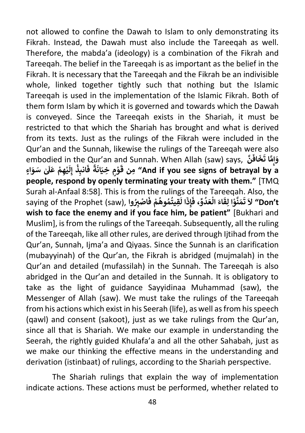not allowed to confine the Dawah to Islam to only demonstrating its Fikrah. Instead, the Dawah must also include the Tareeqah as well. Therefore, the mabda'a (ideology) is a combination of the Fikrah and Tareeqah. The belief in the Tareeqah is as important as the belief in the Fikrah. It is necessary that the Tareeqah and the Fikrah be an indivisible whole, linked together tightly such that nothing but the Islamic Tareeqah is used in the implementation of the Islamic Fikrah. Both of them form Islam by which it is governed and towards which the Dawah is conveyed. Since the Tareeqah exists in the Shariah, it must be restricted to that which the Shariah has brought and what is derived from its texts. Just as the rulings of the Fikrah were included in the Qur'an and the Sunnah, likewise the rulings of the Tareeqah were also embodied in the Qur'an and Sunnah. When Allah (saw) says, **َّ ن َ َ اف خ َ َّ**وَإِمَّا ت<sup>َ</sup> **ِ إ ٍاء َ و ٰ سَ َ َل َ ْ ع ِ م ه ي ْ َ ل ِ إ ِذ انب ْ َ ً ف ة َ َان ٍ ِ خي م و ْ َ ق منِ" And if you see signs of betrayal by a people, respond by openly terminating your treaty with them."** [TMQ Surah al-Anfaal 8:58]. This is from the rulings of the Tareeqah. Also, the saying of the Prophet (saw), **وا ُ ّي ِ اص ْ َ ْ ف م ُوه م ِقيت ُ ُ َ َ ا ل ِ ذ إ َ ِّ ، ف و د َ ع َ ال اء ِ ق ا ل و َّ ن َ م ُ ْ ََْ َ ت ال" Don't wish to face the enemy and if you face him, be patient"** [Bukhari and Muslim], is from the rulings of the Tareeqah. Subsequently, all the ruling of the Tareeqah, like all other rules, are derived through Ijtihad from the Qur'an, Sunnah, Ijma'a and Qiyaas. Since the Sunnah is an clarification (mubayyinah) of the Qur'an, the Fikrah is abridged (mujmalah) in the Qur'an and detailed (mufassilah) in the Sunnah. The Tareeqah is also abridged in the Qur'an and detailed in the Sunnah. It is obligatory to take as the light of guidance Sayyidinaa Muhammad (saw), the Messenger of Allah (saw). We must take the rulings of the Tareeqah from his actions which exist in his Seerah (life), as well as from his speech (qawl) and consent (sakoot), just as we take rulings from the Qur'an, since all that is Shariah. We make our example in understanding the Seerah, the rightly guided Khulafa'a and all the other Sahabah, just as we make our thinking the effective means in the understanding and derivation (istinbaat) of rulings, according to the Shariah perspective.

The Shariah rulings that explain the way of implementation indicate actions. These actions must be performed, whether related to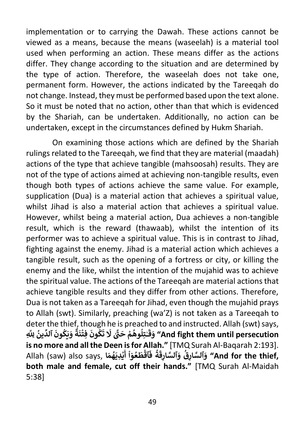implementation or to carrying the Dawah. These actions cannot be viewed as a means, because the means (waseelah) is a material tool used when performing an action. These means differ as the actions differ. They change according to the situation and are determined by the type of action. Therefore, the waseelah does not take one, permanent form. However, the actions indicated by the Tareeqah do not change. Instead, they must be performed based upon the text alone. So it must be noted that no action, other than that which is evidenced by the Shariah, can be undertaken. Additionally, no action can be undertaken, except in the circumstances defined by Hukm Shariah.

On examining those actions which are defined by the Shariah rulings related to the Tareeqah, we find that they are material (maadah) actions of the type that achieve tangible (mahsoosah) results. They are not of the type of actions aimed at achieving non-tangible results, even though both types of actions achieve the same value. For example, supplication (Dua) is a material action that achieves a spiritual value, whilst Jihad is also a material action that achieves a spiritual value. However, whilst being a material action, Dua achieves a non-tangible result, which is the reward (thawaab), whilst the intention of its performer was to achieve a spiritual value. This is in contrast to Jihad, fighting against the enemy. Jihad is a material action which achieves a tangible result, such as the opening of a fortress or city, or killing the enemy and the like, whilst the intention of the mujahid was to achieve the spiritual value. The actions of the Tareeqah are material actions that achieve tangible results and they differ from other actions. Therefore, Dua is not taken as a Tareeqah for Jihad, even though the mujahid prays to Allah (swt). Similarly, preaching (wa'Z) is not taken as a Tareeqah to deter the thief, though he is preached to and instructed. Allah (swt) says, acter the tine<br>**وَيَكُونَ ٱلدِّينُ لِل**َّهِ **ُ ُ ٌ ة َ ن ِ فت َ ون ك ْ ُ** ا ITE IS preach<br>**'تِلُوهُمْ حَتَّىٰ لَا تَ ُ ُ ٰ َ ق َ و" And fight them until persecution is no more and all the Deen is for Allah."** [TMQ Surah Al-Baqarah 2:193]. **َ** Allah (saw) also says, **ا َ م ه َ ِدي ي ْ أ ٓ و ع َ ط ٱق ُ ف ة ُ ْ ا ُ ْ ََ ِق ٱلسَّ ار و ِق ٱلسَّ ار و" And for the thief, َ**ا<br>' **َboth male and female, cut off their hands."** [TMQ Surah Al-Maidah 5:38]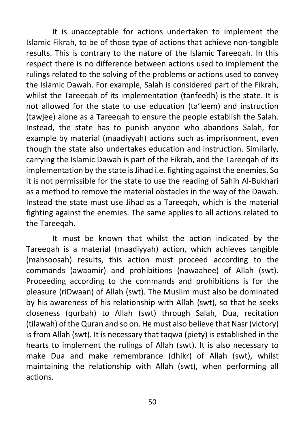It is unacceptable for actions undertaken to implement the Islamic Fikrah, to be of those type of actions that achieve non-tangible results. This is contrary to the nature of the Islamic Tareeqah. In this respect there is no difference between actions used to implement the rulings related to the solving of the problems or actions used to convey the Islamic Dawah. For example, Salah is considered part of the Fikrah, whilst the Tareeqah of its implementation (tanfeedh) is the state. It is not allowed for the state to use education (ta'leem) and instruction (tawjee) alone as a Tareeqah to ensure the people establish the Salah. Instead, the state has to punish anyone who abandons Salah, for example by material (maadiyyah) actions such as imprisonment, even though the state also undertakes education and instruction. Similarly, carrying the Islamic Dawah is part of the Fikrah, and the Tareeqah of its implementation by the state is Jihad i.e. fighting against the enemies. So it is not permissible for the state to use the reading of Sahih Al-Bukhari as a method to remove the material obstacles in the way of the Dawah. Instead the state must use Jihad as a Tareeqah, which is the material fighting against the enemies. The same applies to all actions related to the Tareeqah.

It must be known that whilst the action indicated by the Tareeqah is a material (maadiyyah) action, which achieves tangible (mahsoosah) results, this action must proceed according to the commands (awaamir) and prohibitions (nawaahee) of Allah (swt). Proceeding according to the commands and prohibitions is for the pleasure (riDwaan) of Allah (swt). The Muslim must also be dominated by his awareness of his relationship with Allah (swt), so that he seeks closeness (qurbah) to Allah (swt) through Salah, Dua, recitation (tilawah) of the Quran and so on. He must also believe that Nasr (victory) is from Allah (swt). It is necessary that taqwa (piety) is established in the hearts to implement the rulings of Allah (swt). It is also necessary to make Dua and make remembrance (dhikr) of Allah (swt), whilst maintaining the relationship with Allah (swt), when performing all actions.

50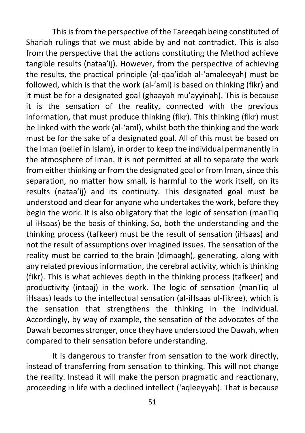This is from the perspective of the Tareeqah being constituted of Shariah rulings that we must abide by and not contradict. This is also from the perspective that the actions constituting the Method achieve tangible results (nataa'ij). However, from the perspective of achieving the results, the practical principle (al-qaa'idah al-'amaleeyah) must be followed, which is that the work (al-'aml) is based on thinking (fikr) and it must be for a designated goal (ghaayah mu'ayyinah). This is because it is the sensation of the reality, connected with the previous information, that must produce thinking (fikr). This thinking (fikr) must be linked with the work (al-'aml), whilst both the thinking and the work must be for the sake of a designated goal. All of this must be based on the Iman (belief in Islam), in order to keep the individual permanently in the atmosphere of Iman. It is not permitted at all to separate the work from either thinking or from the designated goal or from Iman, since this separation, no matter how small, is harmful to the work itself, on its results (nataa'ij) and its continuity. This designated goal must be understood and clear for anyone who undertakes the work, before they begin the work. It is also obligatory that the logic of sensation (manTiq ul iHsaas) be the basis of thinking. So, both the understanding and the thinking process (tafkeer) must be the result of sensation (iHsaas) and not the result of assumptions over imagined issues. The sensation of the reality must be carried to the brain (dimaagh), generating, along with any related previous information, the cerebral activity, which is thinking (fikr). This is what achieves depth in the thinking process (tafkeer) and productivity (intaaj) in the work. The logic of sensation (manTiq ul iHsaas) leads to the intellectual sensation (al-iHsaas ul-fikree), which is the sensation that strengthens the thinking in the individual. Accordingly, by way of example, the sensation of the advocates of the Dawah becomes stronger, once they have understood the Dawah, when compared to their sensation before understanding.

It is dangerous to transfer from sensation to the work directly, instead of transferring from sensation to thinking. This will not change the reality. Instead it will make the person pragmatic and reactionary, proceeding in life with a declined intellect ('aqleeyyah). That is because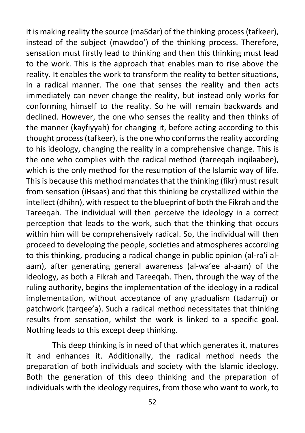it is making reality the source (maSdar) of the thinking process (tafkeer), instead of the subject (mawdoo') of the thinking process. Therefore, sensation must firstly lead to thinking and then this thinking must lead to the work. This is the approach that enables man to rise above the reality. It enables the work to transform the reality to better situations, in a radical manner. The one that senses the reality and then acts immediately can never change the reality, but instead only works for conforming himself to the reality. So he will remain backwards and declined. However, the one who senses the reality and then thinks of the manner (kayfiyyah) for changing it, before acting according to this thought process (tafkeer), is the one who conforms the reality according to his ideology, changing the reality in a comprehensive change. This is the one who complies with the radical method (tareeqah inqilaabee), which is the only method for the resumption of the Islamic way of life. This is because this method mandates that the thinking (fikr) must result from sensation (iHsaas) and that this thinking be crystallized within the intellect (dhihn), with respect to the blueprint of both the Fikrah and the Tareegah. The individual will then perceive the ideology in a correct perception that leads to the work, such that the thinking that occurs within him will be comprehensively radical. So, the individual will then proceed to developing the people, societies and atmospheres according to this thinking, producing a radical change in public opinion (al-ra'i alaam), after generating general awareness (al-wa'ee al-aam) of the ideology, as both a Fikrah and Tareeqah. Then, through the way of the ruling authority, begins the implementation of the ideology in a radical implementation, without acceptance of any gradualism (tadarruj) or patchwork (tarqee'a). Such a radical method necessitates that thinking results from sensation, whilst the work is linked to a specific goal. Nothing leads to this except deep thinking.

This deep thinking is in need of that which generates it, matures it and enhances it. Additionally, the radical method needs the preparation of both individuals and society with the Islamic ideology. Both the generation of this deep thinking and the preparation of individuals with the ideology requires, from those who want to work, to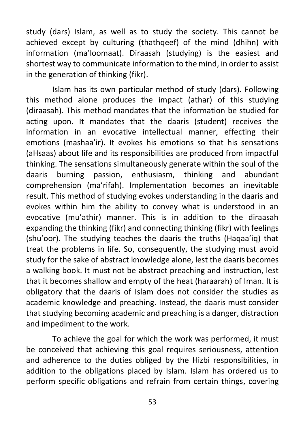study (dars) Islam, as well as to study the society. This cannot be achieved except by culturing (thathqeef) of the mind (dhihn) with information (ma'loomaat). Diraasah (studying) is the easiest and shortest way to communicate information to the mind, in order to assist in the generation of thinking (fikr).

Islam has its own particular method of study (dars). Following this method alone produces the impact (athar) of this studying (diraasah). This method mandates that the information be studied for acting upon. It mandates that the daaris (student) receives the information in an evocative intellectual manner, effecting their emotions (mashaa'ir). It evokes his emotions so that his sensations (aHsaas) about life and its responsibilities are produced from impactful thinking. The sensations simultaneously generate within the soul of the daaris burning passion, enthusiasm, thinking and abundant comprehension (ma'rifah). Implementation becomes an inevitable result. This method of studying evokes understanding in the daaris and evokes within him the ability to convey what is understood in an evocative (mu'athir) manner. This is in addition to the diraasah expanding the thinking (fikr) and connecting thinking (fikr) with feelings (shu'oor). The studying teaches the daaris the truths (Haqaa'iq) that treat the problems in life. So, consequently, the studying must avoid study for the sake of abstract knowledge alone, lest the daaris becomes a walking book. It must not be abstract preaching and instruction, lest that it becomes shallow and empty of the heat (haraarah) of Iman. It is obligatory that the daaris of Islam does not consider the studies as academic knowledge and preaching. Instead, the daaris must consider that studying becoming academic and preaching is a danger, distraction and impediment to the work.

To achieve the goal for which the work was performed, it must be conceived that achieving this goal requires seriousness, attention and adherence to the duties obliged by the Hizbi responsibilities, in addition to the obligations placed by Islam. Islam has ordered us to perform specific obligations and refrain from certain things, covering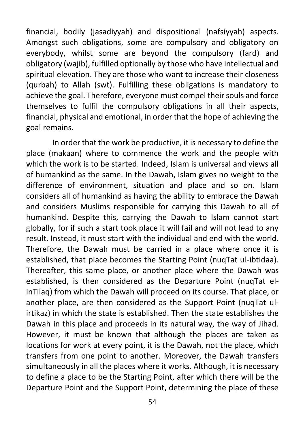financial, bodily (jasadiyyah) and dispositional (nafsiyyah) aspects. Amongst such obligations, some are compulsory and obligatory on everybody, whilst some are beyond the compulsory (fard) and obligatory (wajib), fulfilled optionally by those who have intellectual and spiritual elevation. They are those who want to increase their closeness (qurbah) to Allah (swt). Fulfilling these obligations is mandatory to achieve the goal. Therefore, everyone must compel their souls and force themselves to fulfil the compulsory obligations in all their aspects, financial, physical and emotional, in order that the hope of achieving the goal remains.

In order that the work be productive, it is necessary to define the place (makaan) where to commence the work and the people with which the work is to be started. Indeed, Islam is universal and views all of humankind as the same. In the Dawah, Islam gives no weight to the difference of environment, situation and place and so on. Islam considers all of humankind as having the ability to embrace the Dawah and considers Muslims responsible for carrying this Dawah to all of humankind. Despite this, carrying the Dawah to Islam cannot start globally, for if such a start took place it will fail and will not lead to any result. Instead, it must start with the individual and end with the world. Therefore, the Dawah must be carried in a place where once it is established, that place becomes the Starting Point (nuqTat ul-ibtidaa). Thereafter, this same place, or another place where the Dawah was established, is then considered as the Departure Point (nuqTat elinTilaq) from which the Dawah will proceed on its course. That place, or another place, are then considered as the Support Point (nuqTat ulirtikaz) in which the state is established. Then the state establishes the Dawah in this place and proceeds in its natural way, the way of Jihad. However, it must be known that although the places are taken as locations for work at every point, it is the Dawah, not the place, which transfers from one point to another. Moreover, the Dawah transfers simultaneously in all the places where it works. Although, it is necessary to define a place to be the Starting Point, after which there will be the Departure Point and the Support Point, determining the place of these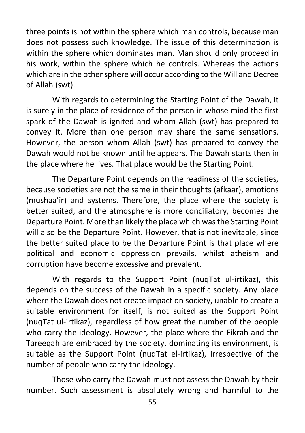three points is not within the sphere which man controls, because man does not possess such knowledge. The issue of this determination is within the sphere which dominates man. Man should only proceed in his work, within the sphere which he controls. Whereas the actions which are in the other sphere will occur according to the Will and Decree of Allah (swt).

With regards to determining the Starting Point of the Dawah, it is surely in the place of residence of the person in whose mind the first spark of the Dawah is ignited and whom Allah (swt) has prepared to convey it. More than one person may share the same sensations. However, the person whom Allah (swt) has prepared to convey the Dawah would not be known until he appears. The Dawah starts then in the place where he lives. That place would be the Starting Point.

The Departure Point depends on the readiness of the societies, because societies are not the same in their thoughts (afkaar), emotions (mushaa'ir) and systems. Therefore, the place where the society is better suited, and the atmosphere is more conciliatory, becomes the Departure Point. More than likely the place which was the Starting Point will also be the Departure Point. However, that is not inevitable, since the better suited place to be the Departure Point is that place where political and economic oppression prevails, whilst atheism and corruption have become excessive and prevalent.

With regards to the Support Point (nuqTat ul-irtikaz), this depends on the success of the Dawah in a specific society. Any place where the Dawah does not create impact on society, unable to create a suitable environment for itself, is not suited as the Support Point (nuqTat ul-irtikaz), regardless of how great the number of the people who carry the ideology. However, the place where the Fikrah and the Tareegah are embraced by the society, dominating its environment, is suitable as the Support Point (nuqTat el-irtikaz), irrespective of the number of people who carry the ideology.

Those who carry the Dawah must not assess the Dawah by their number. Such assessment is absolutely wrong and harmful to the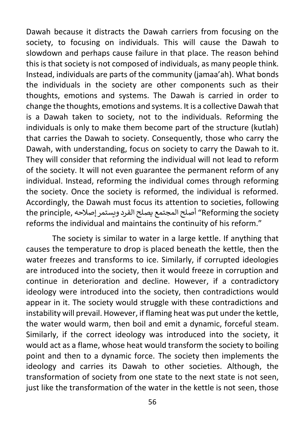Dawah because it distracts the Dawah carriers from focusing on the society, to focusing on individuals. This will cause the Dawah to slowdown and perhaps cause failure in that place. The reason behind this is that society is not composed of individuals, as many people think. Instead, individuals are parts of the community (jamaa'ah). What bonds the individuals in the society are other components such as their thoughts, emotions and systems. The Dawah is carried in order to change the thoughts, emotions and systems. It is a collective Dawah that is a Dawah taken to society, not to the individuals. Reforming the individuals is only to make them become part of the structure (kutlah) that carries the Dawah to society. Consequently, those who carry the Dawah, with understanding, focus on society to carry the Dawah to it. They will consider that reforming the individual will not lead to reform of the society. It will not even guarantee the permanent reform of any individual. Instead, reforming the individual comes through reforming the society. Once the society is reformed, the individual is reformed. Accordingly, the Dawah must focus its attention to societies, following society the Reforming "أصـلح المجتمع يصـلح الفـرد ويستمر إصالحه ,principle the reforms the individual and maintains the continuity of his reform."

The society is similar to water in a large kettle. If anything that causes the temperature to drop is placed beneath the kettle, then the water freezes and transforms to ice. Similarly, if corrupted ideologies are introduced into the society, then it would freeze in corruption and continue in deterioration and decline. However, if a contradictory ideology were introduced into the society, then contradictions would appear in it. The society would struggle with these contradictions and instability will prevail. However, if flaming heat was put under the kettle, the water would warm, then boil and emit a dynamic, forceful steam. Similarly, if the correct ideology was introduced into the society, it would act as a flame, whose heat would transform the society to boiling point and then to a dynamic force. The society then implements the ideology and carries its Dawah to other societies. Although, the transformation of society from one state to the next state is not seen, just like the transformation of the water in the kettle is not seen, those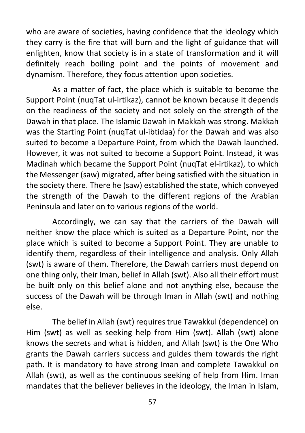who are aware of societies, having confidence that the ideology which they carry is the fire that will burn and the light of guidance that will enlighten, know that society is in a state of transformation and it will definitely reach boiling point and the points of movement and dynamism. Therefore, they focus attention upon societies.

As a matter of fact, the place which is suitable to become the Support Point (nuqTat ul-irtikaz), cannot be known because it depends on the readiness of the society and not solely on the strength of the Dawah in that place. The Islamic Dawah in Makkah was strong. Makkah was the Starting Point (nuqTat ul-ibtidaa) for the Dawah and was also suited to become a Departure Point, from which the Dawah launched. However, it was not suited to become a Support Point. Instead, it was Madinah which became the Support Point (nuqTat el-irtikaz), to which the Messenger (saw) migrated, after being satisfied with the situation in the society there. There he (saw) established the state, which conveyed the strength of the Dawah to the different regions of the Arabian Peninsula and later on to various regions of the world.

Accordingly, we can say that the carriers of the Dawah will neither know the place which is suited as a Departure Point, nor the place which is suited to become a Support Point. They are unable to identify them, regardless of their intelligence and analysis. Only Allah (swt) is aware of them. Therefore, the Dawah carriers must depend on one thing only, their Iman, belief in Allah (swt). Also all their effort must be built only on this belief alone and not anything else, because the success of the Dawah will be through Iman in Allah (swt) and nothing else.

The belief in Allah (swt) requires true Tawakkul (dependence) on Him (swt) as well as seeking help from Him (swt). Allah (swt) alone knows the secrets and what is hidden, and Allah (swt) is the One Who grants the Dawah carriers success and guides them towards the right path. It is mandatory to have strong Iman and complete Tawakkul on Allah (swt), as well as the continuous seeking of help from Him. Iman mandates that the believer believes in the ideology, the Iman in Islam,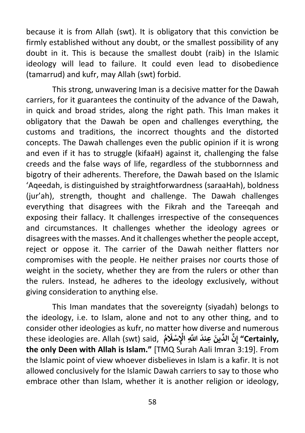because it is from Allah (swt). It is obligatory that this conviction be firmly established without any doubt, or the smallest possibility of any doubt in it. This is because the smallest doubt (raib) in the Islamic ideology will lead to failure. It could even lead to disobedience (tamarrud) and kufr, may Allah (swt) forbid.

This strong, unwavering Iman is a decisive matter for the Dawah carriers, for it guarantees the continuity of the advance of the Dawah, in quick and broad strides, along the right path. This Iman makes it obligatory that the Dawah be open and challenges everything, the customs and traditions, the incorrect thoughts and the distorted concepts. The Dawah challenges even the public opinion if it is wrong and even if it has to struggle (kifaaH) against it, challenging the false creeds and the false ways of life, regardless of the stubbornness and bigotry of their adherents. Therefore, the Dawah based on the Islamic 'Aqeedah, is distinguished by straightforwardness (saraaHah), boldness (jur'ah), strength, thought and challenge. The Dawah challenges everything that disagrees with the Fikrah and the Tareeqah and exposing their fallacy. It challenges irrespective of the consequences and circumstances. It challenges whether the ideology agrees or disagrees with the masses. And it challenges whether the people accept, reject or oppose it. The carrier of the Dawah neither flatters nor compromises with the people. He neither praises nor courts those of weight in the society, whether they are from the rulers or other than the rulers. Instead, he adheres to the ideology exclusively, without giving consideration to anything else.

This Iman mandates that the sovereignty (siyadah) belongs to the ideology, i.e. to Islam, alone and not to any other thing, and to consider other ideologies as kufr, no matter how diverse and numerous these ideologies are. Allah (swt) said, **ُ م َ ل ِ سْ ِ اْل َ اَّلل َّ ِ عند َ ين ِّ َّ الد ِن ,Certainly "إ ْ the only Deen with Allah is Islam."** [TMQ Surah Aali Imran 3:19]. From the Islamic point of view whoever disbelieves in Islam is a kafir. It is not allowed conclusively for the Islamic Dawah carriers to say to those who embrace other than Islam, whether it is another religion or ideology,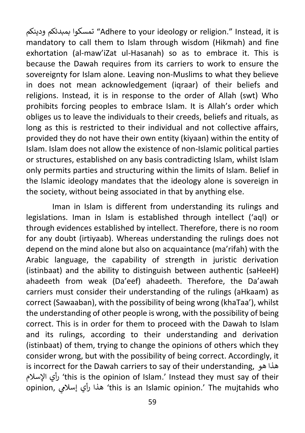ودينكم بمبدئكم تمسكوا" Adhere to your ideology or religion." Instead, it is mandatory to call them to Islam through wisdom (Hikmah) and fine exhortation (al-maw'iZat ul-Hasanah) so as to embrace it. This is because the Dawah requires from its carriers to work to ensure the sovereignty for Islam alone. Leaving non-Muslims to what they believe in does not mean acknowledgement (iqraar) of their beliefs and religions. Instead, it is in response to the order of Allah (swt) Who prohibits forcing peoples to embrace Islam. It is Allah's order which obliges us to leave the individuals to their creeds, beliefs and rituals, as long as this is restricted to their individual and not collective affairs, provided they do not have their own entity (kiyaan) within the entity of Islam. Islam does not allow the existence of non-Islamic political parties or structures, established on any basis contradicting Islam, whilst Islam only permits parties and structuring within the limits of Islam. Belief in the Islamic ideology mandates that the ideology alone is sovereign in the society, without being associated in that by anything else.

Iman in Islam is different from understanding its rulings and legislations. Iman in Islam is established through intellect ('aql) or through evidences established by intellect. Therefore, there is no room for any doubt (irtiyaab). Whereas understanding the rulings does not depend on the mind alone but also on acquaintance (ma'rifah) with the Arabic language, the capability of strength in juristic derivation (istinbaat) and the ability to distinguish between authentic (saHeeH) ahadeeth from weak (Da'eef) ahadeeth. Therefore, the Da'awah carriers must consider their understanding of the rulings (aHkaam) as correct (Sawaaban), with the possibility of being wrong (khaTaa'), whilst the understanding of other people is wrong, with the possibility of being correct. This is in order for them to proceed with the Dawah to Islam and its rulings, according to their understanding and derivation (istinbaat) of them, trying to change the opinions of others which they consider wrong, but with the possibility of being correct. Accordingly, it is incorrect for the Dawah carriers to say of their understanding, هو هذا اإلسالم رأي' this is the opinion of Islam.' Instead they must say of their opinion, هذا رأي إسلامي 'this is an Islamic opinion.' The mujtahids who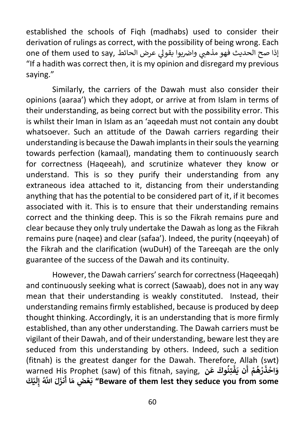established the schools of Fiqh (madhabs) used to consider their derivation of rulings as correct, with the possibility of being wrong. Each one of them used to say, اذا صح الحريوا بقولي عرض الحائط "If a hadith was correct then, it is my opinion and disregard my previous saying."

Similarly, the carriers of the Dawah must also consider their opinions (aaraa') which they adopt, or arrive at from Islam in terms of their understanding, as being correct but with the possibility error. This is whilst their Iman in Islam as an 'aqeedah must not contain any doubt whatsoever. Such an attitude of the Dawah carriers regarding their understanding is because the Dawah implants in their souls the yearning towards perfection (kamaal), mandating them to continuously search for correctness (Haqeeah), and scrutinize whatever they know or understand. This is so they purify their understanding from any extraneous idea attached to it, distancing from their understanding anything that has the potential to be considered part of it, if it becomes associated with it. This is to ensure that their understanding remains correct and the thinking deep. This is so the Fikrah remains pure and clear because they only truly undertake the Dawah as long as the Fikrah remains pure (naqee) and clear (safaa'). Indeed, the purity (nqeeyah) of the Fikrah and the clarification (wuDuH) of the Tareeqah are the only guarantee of the success of the Dawah and its continuity.

However, the Dawah carriers' search for correctness (Haqeeqah) and continuously seeking what is correct (Sawaab), does not in any way mean that their understanding is weakly constituted. Instead, their understanding remains firmly established, because is produced by deep thought thinking. Accordingly, it is an understanding that is more firmly established, than any other understanding. The Dawah carriers must be vigilant of their Dawah, and of their understanding, beware lest they are seduced from this understanding by others. Indeed, such a sedition (fitnah) is the greatest danger for the Dawah. Therefore, Allah (swt) warned His Prophet (saw) of this fitnah, saying, **ن َ ع َ ُوك ِتن ف َ ن ي ْ َ ْ أ م ه ر ُ ْ َ ذ اح و َ ْ َكَ ي ْ َ ل ِ َ اَّلل َّ ُ إ ل َ نز ا أ ِض م ع َ ب" Beware of them lest they seduce you from some َْ**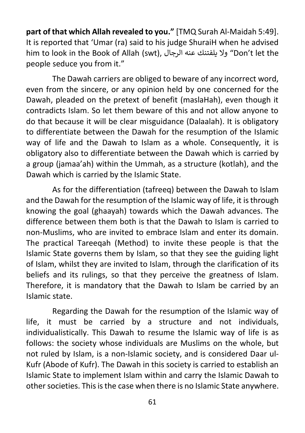**part of that which Allah revealed to you."** [TMQ Surah Al-Maidah 5:49]. It is reported that 'Umar (ra) said to his judge ShuraiH when he advised him to look in the Book of Allah (swt), الرجال عنه يلفتنك وال" Don't let the people seduce you from it."

The Dawah carriers are obliged to beware of any incorrect word, even from the sincere, or any opinion held by one concerned for the Dawah, pleaded on the pretext of benefit (maslaHah), even though it contradicts Islam. So let them beware of this and not allow anyone to do that because it will be clear misguidance (Dalaalah). It is obligatory to differentiate between the Dawah for the resumption of the Islamic way of life and the Dawah to Islam as a whole. Consequently, it is obligatory also to differentiate between the Dawah which is carried by a group (jamaa'ah) within the Ummah, as a structure (kotlah), and the Dawah which is carried by the Islamic State.

As for the differentiation (tafreeq) between the Dawah to Islam and the Dawah for the resumption of the Islamic way of life, it is through knowing the goal (ghaayah) towards which the Dawah advances. The difference between them both is that the Dawah to Islam is carried to non-Muslims, who are invited to embrace Islam and enter its domain. The practical Tareeqah (Method) to invite these people is that the Islamic State governs them by Islam, so that they see the guiding light of Islam, whilst they are invited to Islam, through the clarification of its beliefs and its rulings, so that they perceive the greatness of Islam. Therefore, it is mandatory that the Dawah to Islam be carried by an Islamic state.

Regarding the Dawah for the resumption of the Islamic way of life, it must be carried by a structure and not individuals, individualistically. This Dawah to resume the Islamic way of life is as follows: the society whose individuals are Muslims on the whole, but not ruled by Islam, is a non-Islamic society, and is considered Daar ul-Kufr (Abode of Kufr). The Dawah in this society is carried to establish an Islamic State to implement Islam within and carry the Islamic Dawah to other societies. This is the case when there is no Islamic State anywhere.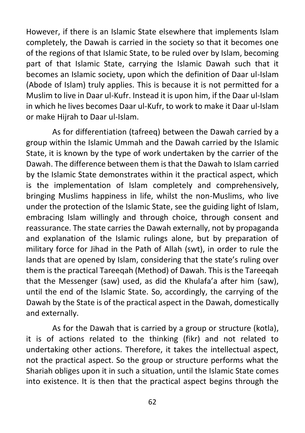However, if there is an Islamic State elsewhere that implements Islam completely, the Dawah is carried in the society so that it becomes one of the regions of that Islamic State, to be ruled over by Islam, becoming part of that Islamic State, carrying the Islamic Dawah such that it becomes an Islamic society, upon which the definition of Daar ul-Islam (Abode of Islam) truly applies. This is because it is not permitted for a Muslim to live in Daar ul-Kufr. Instead it is upon him, if the Daar ul-Islam in which he lives becomes Daar ul-Kufr, to work to make it Daar ul-Islam or make Hijrah to Daar ul-Islam.

As for differentiation (tafreeq) between the Dawah carried by a group within the Islamic Ummah and the Dawah carried by the Islamic State, it is known by the type of work undertaken by the carrier of the Dawah. The difference between them is that the Dawah to Islam carried by the Islamic State demonstrates within it the practical aspect, which is the implementation of Islam completely and comprehensively, bringing Muslims happiness in life, whilst the non-Muslims, who live under the protection of the Islamic State, see the guiding light of Islam, embracing Islam willingly and through choice, through consent and reassurance. The state carries the Dawah externally, not by propaganda and explanation of the Islamic rulings alone, but by preparation of military force for Jihad in the Path of Allah (swt), in order to rule the lands that are opened by Islam, considering that the state's ruling over them is the practical Tareeqah (Method) of Dawah. This is the Tareeqah that the Messenger (saw) used, as did the Khulafa'a after him (saw), until the end of the Islamic State. So, accordingly, the carrying of the Dawah by the State is of the practical aspect in the Dawah, domestically and externally.

As for the Dawah that is carried by a group or structure (kotla), it is of actions related to the thinking (fikr) and not related to undertaking other actions. Therefore, it takes the intellectual aspect, not the practical aspect. So the group or structure performs what the Shariah obliges upon it in such a situation, until the Islamic State comes into existence. It is then that the practical aspect begins through the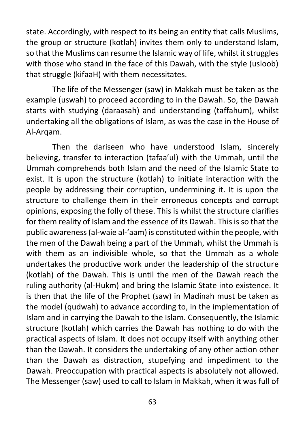state. Accordingly, with respect to its being an entity that calls Muslims, the group or structure (kotlah) invites them only to understand Islam, so that the Muslims can resume the Islamic way of life, whilst it struggles with those who stand in the face of this Dawah, with the style (usloob) that struggle (kifaaH) with them necessitates.

The life of the Messenger (saw) in Makkah must be taken as the example (uswah) to proceed according to in the Dawah. So, the Dawah starts with studying (daraasah) and understanding (taffahum), whilst undertaking all the obligations of Islam, as was the case in the House of Al-Arqam.

Then the dariseen who have understood Islam, sincerely believing, transfer to interaction (tafaa'ul) with the Ummah, until the Ummah comprehends both Islam and the need of the Islamic State to exist. It is upon the structure (kotlah) to initiate interaction with the people by addressing their corruption, undermining it. It is upon the structure to challenge them in their erroneous concepts and corrupt opinions, exposing the folly of these. This is whilst the structure clarifies for them reality of Islam and the essence of its Dawah. This is so that the public awareness (al-waie al-'aam) is constituted within the people, with the men of the Dawah being a part of the Ummah, whilst the Ummah is with them as an indivisible whole, so that the Ummah as a whole undertakes the productive work under the leadership of the structure (kotlah) of the Dawah. This is until the men of the Dawah reach the ruling authority (al-Hukm) and bring the Islamic State into existence. It is then that the life of the Prophet (saw) in Madinah must be taken as the model (qudwah) to advance according to, in the implementation of Islam and in carrying the Dawah to the Islam. Consequently, the Islamic structure (kotlah) which carries the Dawah has nothing to do with the practical aspects of Islam. It does not occupy itself with anything other than the Dawah. It considers the undertaking of any other action other than the Dawah as distraction, stupefying and impediment to the Dawah. Preoccupation with practical aspects is absolutely not allowed. The Messenger (saw) used to call to Islam in Makkah, when it was full of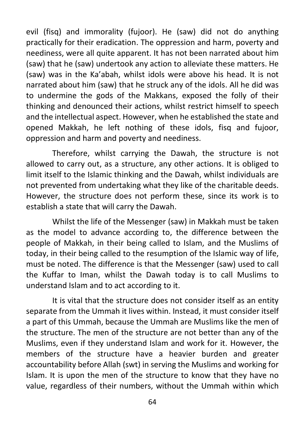evil (fisq) and immorality (fujoor). He (saw) did not do anything practically for their eradication. The oppression and harm, poverty and neediness, were all quite apparent. It has not been narrated about him (saw) that he (saw) undertook any action to alleviate these matters. He (saw) was in the Ka'abah, whilst idols were above his head. It is not narrated about him (saw) that he struck any of the idols. All he did was to undermine the gods of the Makkans, exposed the folly of their thinking and denounced their actions, whilst restrict himself to speech and the intellectual aspect. However, when he established the state and opened Makkah, he left nothing of these idols, fisq and fujoor, oppression and harm and poverty and neediness.

Therefore, whilst carrying the Dawah, the structure is not allowed to carry out, as a structure, any other actions. It is obliged to limit itself to the Islamic thinking and the Dawah, whilst individuals are not prevented from undertaking what they like of the charitable deeds. However, the structure does not perform these, since its work is to establish a state that will carry the Dawah.

Whilst the life of the Messenger (saw) in Makkah must be taken as the model to advance according to, the difference between the people of Makkah, in their being called to Islam, and the Muslims of today, in their being called to the resumption of the Islamic way of life, must be noted. The difference is that the Messenger (saw) used to call the Kuffar to Iman, whilst the Dawah today is to call Muslims to understand Islam and to act according to it.

It is vital that the structure does not consider itself as an entity separate from the Ummah it lives within. Instead, it must consider itself a part of this Ummah, because the Ummah are Muslims like the men of the structure. The men of the structure are not better than any of the Muslims, even if they understand Islam and work for it. However, the members of the structure have a heavier burden and greater accountability before Allah (swt) in serving the Muslims and working for Islam. It is upon the men of the structure to know that they have no value, regardless of their numbers, without the Ummah within which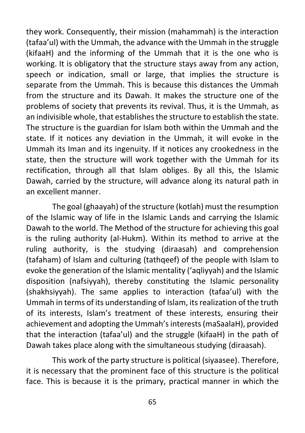they work. Consequently, their mission (mahammah) is the interaction (tafaa'ul) with the Ummah, the advance with the Ummah in the struggle (kifaaH) and the informing of the Ummah that it is the one who is working. It is obligatory that the structure stays away from any action, speech or indication, small or large, that implies the structure is separate from the Ummah. This is because this distances the Ummah from the structure and its Dawah. It makes the structure one of the problems of society that prevents its revival. Thus, it is the Ummah, as an indivisible whole, that establishes the structure to establish the state. The structure is the guardian for Islam both within the Ummah and the state. If it notices any deviation in the Ummah, it will evoke in the Ummah its Iman and its ingenuity. If it notices any crookedness in the state, then the structure will work together with the Ummah for its rectification, through all that Islam obliges. By all this, the Islamic Dawah, carried by the structure, will advance along its natural path in an excellent manner.

The goal (ghaayah) of the structure (kotlah) must the resumption of the Islamic way of life in the Islamic Lands and carrying the Islamic Dawah to the world. The Method of the structure for achieving this goal is the ruling authority (al-Hukm). Within its method to arrive at the ruling authority, is the studying (diraasah) and comprehension (tafaham) of Islam and culturing (tathqeef) of the people with Islam to evoke the generation of the Islamic mentality ('aqliyyah) and the Islamic disposition (nafsiyyah), thereby constituting the Islamic personality (shakhsiyyah). The same applies to interaction (tafaa'ul) with the Ummah in terms of its understanding of Islam, its realization of the truth of its interests, Islam's treatment of these interests, ensuring their achievement and adopting the Ummah's interests (maSaalaH), provided that the interaction (tafaa'ul) and the struggle (kifaaH) in the path of Dawah takes place along with the simultaneous studying (diraasah).

This work of the party structure is political (siyaasee). Therefore, it is necessary that the prominent face of this structure is the political face. This is because it is the primary, practical manner in which the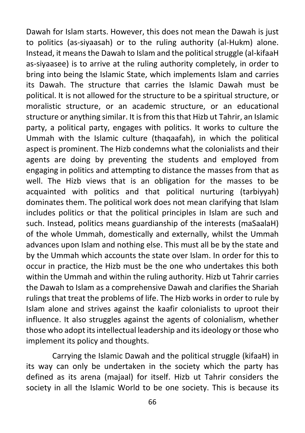Dawah for Islam starts. However, this does not mean the Dawah is just to politics (as-siyaasah) or to the ruling authority (al-Hukm) alone. Instead, it means the Dawah to Islam and the political struggle (al-kifaaH as-siyaasee) is to arrive at the ruling authority completely, in order to bring into being the Islamic State, which implements Islam and carries its Dawah. The structure that carries the Islamic Dawah must be political. It is not allowed for the structure to be a spiritual structure, or moralistic structure, or an academic structure, or an educational structure or anything similar. It is from this that Hizb ut Tahrir, an Islamic party, a political party, engages with politics. It works to culture the Ummah with the Islamic culture (thaqaafah), in which the political aspect is prominent. The Hizb condemns what the colonialists and their agents are doing by preventing the students and employed from engaging in politics and attempting to distance the masses from that as well. The Hizb views that is an obligation for the masses to be acquainted with politics and that political nurturing (tarbiyyah) dominates them. The political work does not mean clarifying that Islam includes politics or that the political principles in Islam are such and such. Instead, politics means guardianship of the interests (maSaalaH) of the whole Ummah, domestically and externally, whilst the Ummah advances upon Islam and nothing else. This must all be by the state and by the Ummah which accounts the state over Islam. In order for this to occur in practice, the Hizb must be the one who undertakes this both within the Ummah and within the ruling authority. Hizb ut Tahrir carries the Dawah to Islam as a comprehensive Dawah and clarifies the Shariah rulings that treat the problems of life. The Hizb works in order to rule by Islam alone and strives against the kaafir colonialists to uproot their influence. It also struggles against the agents of colonialism, whether those who adopt its intellectual leadership and its ideology or those who implement its policy and thoughts.

Carrying the Islamic Dawah and the political struggle (kifaaH) in its way can only be undertaken in the society which the party has defined as its arena (majaal) for itself. Hizb ut Tahrir considers the society in all the Islamic World to be one society. This is because its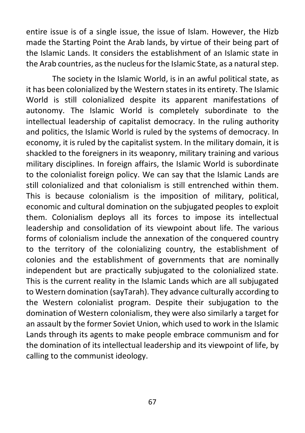entire issue is of a single issue, the issue of Islam. However, the Hizb made the Starting Point the Arab lands, by virtue of their being part of the Islamic Lands. It considers the establishment of an Islamic state in the Arab countries, as the nucleus for the Islamic State, as a natural step.

The society in the Islamic World, is in an awful political state, as it has been colonialized by the Western states in its entirety. The Islamic World is still colonialized despite its apparent manifestations of autonomy. The Islamic World is completely subordinate to the intellectual leadership of capitalist democracy. In the ruling authority and politics, the Islamic World is ruled by the systems of democracy. In economy, it is ruled by the capitalist system. In the military domain, it is shackled to the foreigners in its weaponry, military training and various military disciplines. In foreign affairs, the Islamic World is subordinate to the colonialist foreign policy. We can say that the Islamic Lands are still colonialized and that colonialism is still entrenched within them. This is because colonialism is the imposition of military, political, economic and cultural domination on the subjugated peoples to exploit them. Colonialism deploys all its forces to impose its intellectual leadership and consolidation of its viewpoint about life. The various forms of colonialism include the annexation of the conquered country to the territory of the colonializing country, the establishment of colonies and the establishment of governments that are nominally independent but are practically subjugated to the colonialized state. This is the current reality in the Islamic Lands which are all subjugated to Western domination (sayTarah). They advance culturally according to the Western colonialist program. Despite their subjugation to the domination of Western colonialism, they were also similarly a target for an assault by the former Soviet Union, which used to work in the Islamic Lands through its agents to make people embrace communism and for the domination of its intellectual leadership and its viewpoint of life, by calling to the communist ideology.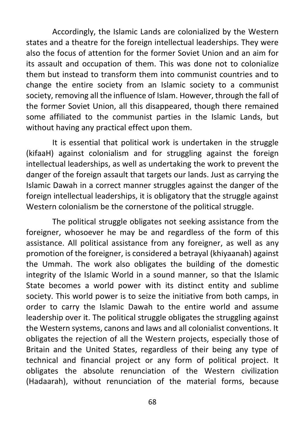Accordingly, the Islamic Lands are colonialized by the Western states and a theatre for the foreign intellectual leaderships. They were also the focus of attention for the former Soviet Union and an aim for its assault and occupation of them. This was done not to colonialize them but instead to transform them into communist countries and to change the entire society from an Islamic society to a communist society, removing all the influence of Islam. However, through the fall of the former Soviet Union, all this disappeared, though there remained some affiliated to the communist parties in the Islamic Lands, but without having any practical effect upon them.

It is essential that political work is undertaken in the struggle (kifaaH) against colonialism and for struggling against the foreign intellectual leaderships, as well as undertaking the work to prevent the danger of the foreign assault that targets our lands. Just as carrying the Islamic Dawah in a correct manner struggles against the danger of the foreign intellectual leaderships, it is obligatory that the struggle against Western colonialism be the cornerstone of the political struggle.

The political struggle obligates not seeking assistance from the foreigner, whosoever he may be and regardless of the form of this assistance. All political assistance from any foreigner, as well as any promotion of the foreigner, is considered a betrayal (khiyaanah) against the Ummah. The work also obligates the building of the domestic integrity of the Islamic World in a sound manner, so that the Islamic State becomes a world power with its distinct entity and sublime society. This world power is to seize the initiative from both camps, in order to carry the Islamic Dawah to the entire world and assume leadership over it. The political struggle obligates the struggling against the Western systems, canons and laws and all colonialist conventions. It obligates the rejection of all the Western projects, especially those of Britain and the United States, regardless of their being any type of technical and financial project or any form of political project. It obligates the absolute renunciation of the Western civilization (Hadaarah), without renunciation of the material forms, because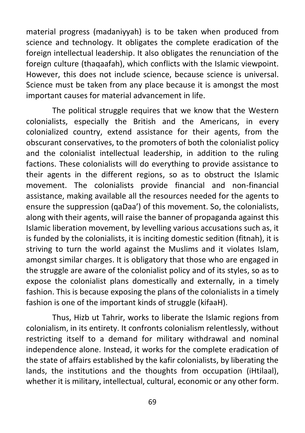material progress (madaniyyah) is to be taken when produced from science and technology. It obligates the complete eradication of the foreign intellectual leadership. It also obligates the renunciation of the foreign culture (thaqaafah), which conflicts with the Islamic viewpoint. However, this does not include science, because science is universal. Science must be taken from any place because it is amongst the most important causes for material advancement in life.

The political struggle requires that we know that the Western colonialists, especially the British and the Americans, in every colonialized country, extend assistance for their agents, from the obscurant conservatives, to the promoters of both the colonialist policy and the colonialist intellectual leadership, in addition to the ruling factions. These colonialists will do everything to provide assistance to their agents in the different regions, so as to obstruct the Islamic movement. The colonialists provide financial and non-financial assistance, making available all the resources needed for the agents to ensure the suppression (qaDaa') of this movement. So, the colonialists, along with their agents, will raise the banner of propaganda against this Islamic liberation movement, by levelling various accusations such as, it is funded by the colonialists, it is inciting domestic sedition (fitnah), it is striving to turn the world against the Muslims and it violates Islam, amongst similar charges. It is obligatory that those who are engaged in the struggle are aware of the colonialist policy and of its styles, so as to expose the colonialist plans domestically and externally, in a timely fashion. This is because exposing the plans of the colonialists in a timely fashion is one of the important kinds of struggle (kifaaH).

Thus, Hizb ut Tahrir, works to liberate the Islamic regions from colonialism, in its entirety. It confronts colonialism relentlessly, without restricting itself to a demand for military withdrawal and nominal independence alone. Instead, it works for the complete eradication of the state of affairs established by the kafir colonialists, by liberating the lands, the institutions and the thoughts from occupation (iHtilaal), whether it is military, intellectual, cultural, economic or any other form.